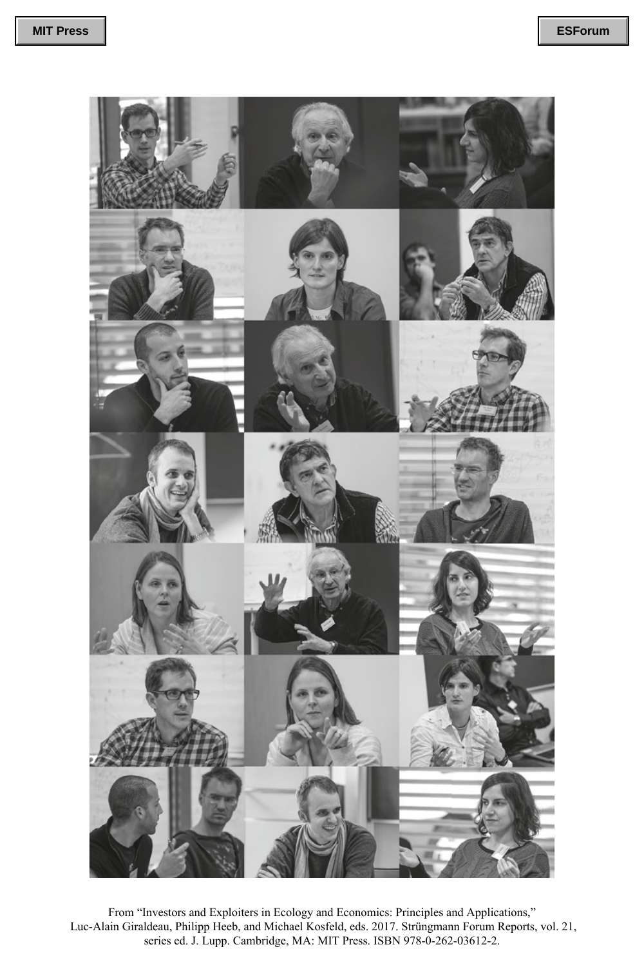

From "Investors and Exploiters in Ecology and Economics: Principles and Applications," Luc-Alain Giraldeau, Philipp Heeb, and Michael Kosfeld, eds. 2017. Strüngmann Forum Reports, vol. 21, series ed. J. Lupp. Cambridge, MA: MIT Press. ISBN 978-0-262-03612-2.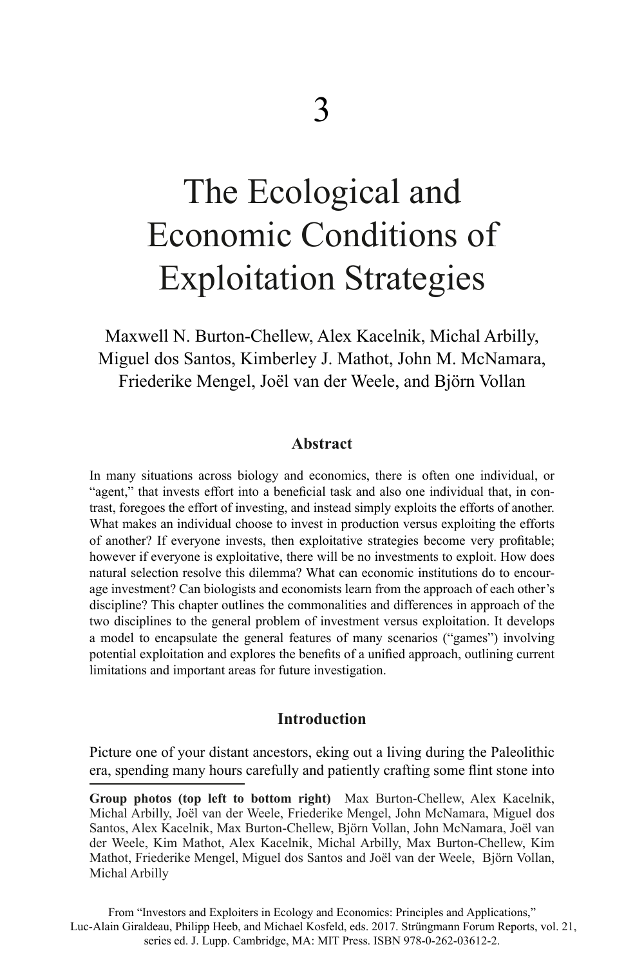# The Ecological and Economic Conditions of Exploitation Strategies

Maxwell N. Burton-Chellew, Alex Kacelnik, Michal Arbilly, Miguel dos Santos, Kimberley J. Mathot, John M. McNamara, Friederike Mengel, Joël van der Weele, and Björn Vollan

# **Abstract**

In many situations across biology and economics, there is often one individual, or "agent," that invests effort into a beneficial task and also one individual that, in contrast, foregoes the effort of investing, and instead simply exploits the efforts of another. What makes an individual choose to invest in production versus exploiting the efforts of another? If everyone invests, then exploitative strategies become very profitable; however if everyone is exploitative, there will be no investments to exploit. How does natural selection resolve this dilemma? What can economic institutions do to encourage investment? Can biologists and economists learn from the approach of each other's discipline? This chapter outlines the commonalities and differences in approach of the two disciplines to the general problem of investment versus exploitation. It develops a model to encapsulate the general features of many scenarios ("games") involving potential exploitation and explores the benefits of a unified approach, outlining current limitations and important areas for future investigation.

# **Introduction**

Picture one of your distant ancestors, eking out a living during the Paleolithic era, spending many hours carefully and patiently crafting some flint stone into

**Group photos (top left to bottom right)** Max Burton-Chellew, Alex Kacelnik, Michal Arbilly, Joël van der Weele, Friederike Mengel, John McNamara, Miguel dos Santos, Alex Kacelnik, Max Burton-Chellew, Björn Vollan, John McNamara, Joël van der Weele, Kim Mathot, Alex Kacelnik, Michal Arbilly, Max Burton-Chellew, Kim Mathot, Friederike Mengel, Miguel dos Santos and Joël van der Weele, Björn Vollan, Michal Arbilly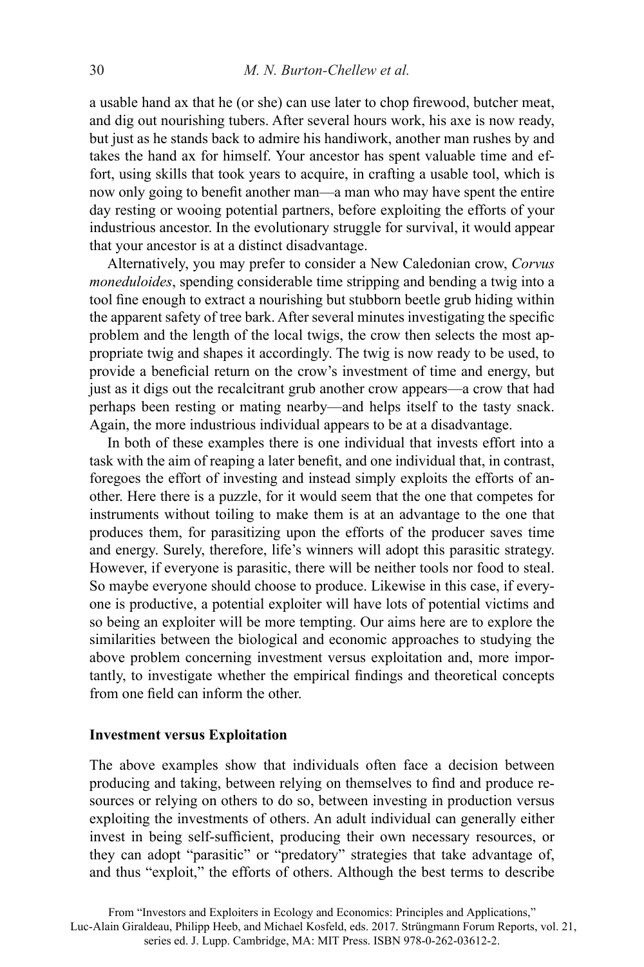a usable hand ax that he (or she) can use later to chop firewood, butcher meat, and dig out nourishing tubers. After several hours work, his axe is now ready, but just as he stands back to admire his handiwork, another man rushes by and takes the hand ax for himself. Your ancestor has spent valuable time and effort, using skills that took years to acquire, in crafting a usable tool, which is now only going to benefit another man—a man who may have spent the entire day resting or wooing potential partners, before exploiting the efforts of your industrious ancestor. In the evolutionary struggle for survival, it would appear that your ancestor is at a distinct disadvantage.

Alternatively, you may prefer to consider a New Caledonian crow, *Corvus moneduloides*, spending considerable time stripping and bending a twig into a tool fine enough to extract a nourishing but stubborn beetle grub hiding within the apparent safety of tree bark. After several minutes investigating the specific problem and the length of the local twigs, the crow then selects the most appropriate twig and shapes it accordingly. The twig is now ready to be used, to provide a beneficial return on the crow's investment of time and energy, but just as it digs out the recalcitrant grub another crow appears—a crow that had perhaps been resting or mating nearby—and helps itself to the tasty snack. Again, the more industrious individual appears to be at a disadvantage.

In both of these examples there is one individual that invests effort into a task with the aim of reaping a later benefit, and one individual that, in contrast, foregoes the effort of investing and instead simply exploits the efforts of another. Here there is a puzzle, for it would seem that the one that competes for instruments without toiling to make them is at an advantage to the one that produces them, for parasitizing upon the efforts of the producer saves time and energy. Surely, therefore, life's winners will adopt this parasitic strategy. However, if everyone is parasitic, there will be neither tools nor food to steal. So maybe everyone should choose to produce. Likewise in this case, if everyone is productive, a potential exploiter will have lots of potential victims and so being an exploiter will be more tempting. Our aims here are to explore the similarities between the biological and economic approaches to studying the above problem concerning investment versus exploitation and, more importantly, to investigate whether the empirical findings and theoretical concepts from one field can inform the other.

## **Investment versus Exploitation**

The above examples show that individuals often face a decision between producing and taking, between relying on themselves to find and produce resources or relying on others to do so, between investing in production versus exploiting the investments of others. An adult individual can generally either invest in being self-sufficient, producing their own necessary resources, or they can adopt "parasitic" or "predatory" strategies that take advantage of, and thus "exploit," the efforts of others. Although the best terms to describe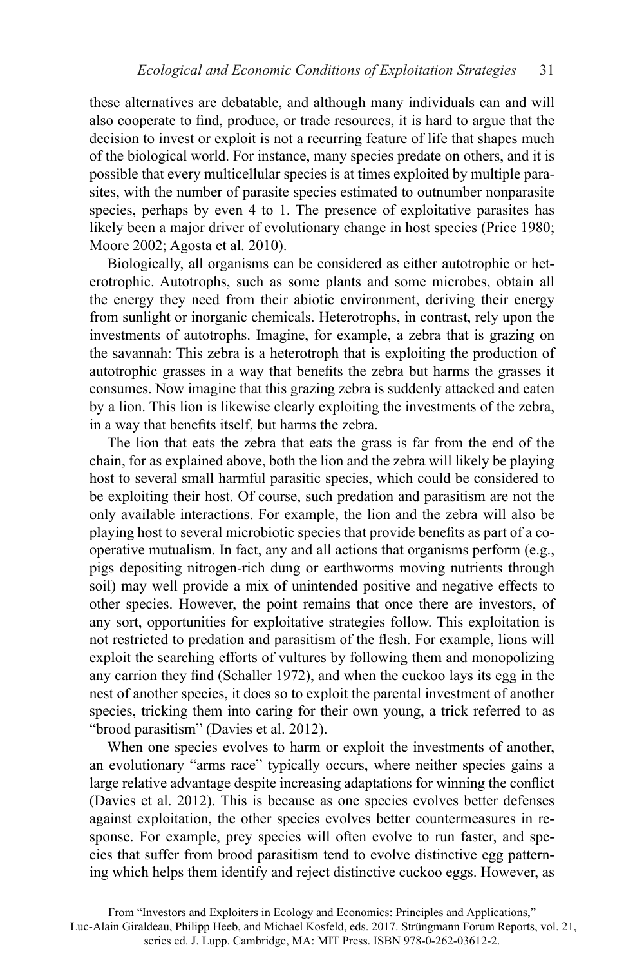these alternatives are debatable, and although many individuals can and will also cooperate to find, produce, or trade resources, it is hard to argue that the decision to invest or exploit is not a recurring feature of life that shapes much of the biological world. For instance, many species predate on others, and it is possible that every multicellular species is at times exploited by multiple parasites, with the number of parasite species estimated to outnumber nonparasite species, perhaps by even 4 to 1. The presence of exploitative parasites has likely been a major driver of evolutionary change in host species (Price 1980; Moore 2002; Agosta et al. 2010).

Biologically, all organisms can be considered as either autotrophic or heterotrophic. Autotrophs, such as some plants and some microbes, obtain all the energy they need from their abiotic environment, deriving their energy from sunlight or inorganic chemicals. Heterotrophs, in contrast, rely upon the investments of autotrophs. Imagine, for example, a zebra that is grazing on the savannah: This zebra is a heterotroph that is exploiting the production of autotrophic grasses in a way that benefits the zebra but harms the grasses it consumes. Now imagine that this grazing zebra is suddenly attacked and eaten by a lion. This lion is likewise clearly exploiting the investments of the zebra, in a way that benefits itself, but harms the zebra.

The lion that eats the zebra that eats the grass is far from the end of the chain, for as explained above, both the lion and the zebra will likely be playing host to several small harmful parasitic species, which could be considered to be exploiting their host. Of course, such predation and parasitism are not the only available interactions. For example, the lion and the zebra will also be playing host to several microbiotic species that provide benefits as part of a cooperative mutualism. In fact, any and all actions that organisms perform (e.g., pigs depositing nitrogen-rich dung or earthworms moving nutrients through soil) may well provide a mix of unintended positive and negative effects to other species. However, the point remains that once there are investors, of any sort, opportunities for exploitative strategies follow. This exploitation is not restricted to predation and parasitism of the flesh. For example, lions will exploit the searching efforts of vultures by following them and monopolizing any carrion they find (Schaller 1972), and when the cuckoo lays its egg in the nest of another species, it does so to exploit the parental investment of another species, tricking them into caring for their own young, a trick referred to as "brood parasitism" (Davies et al. 2012).

When one species evolves to harm or exploit the investments of another, an evolutionary "arms race" typically occurs, where neither species gains a large relative advantage despite increasing adaptations for winning the conflict (Davies et al. 2012). This is because as one species evolves better defenses against exploitation, the other species evolves better countermeasures in response. For example, prey species will often evolve to run faster, and species that suffer from brood parasitism tend to evolve distinctive egg patterning which helps them identify and reject distinctive cuckoo eggs. However, as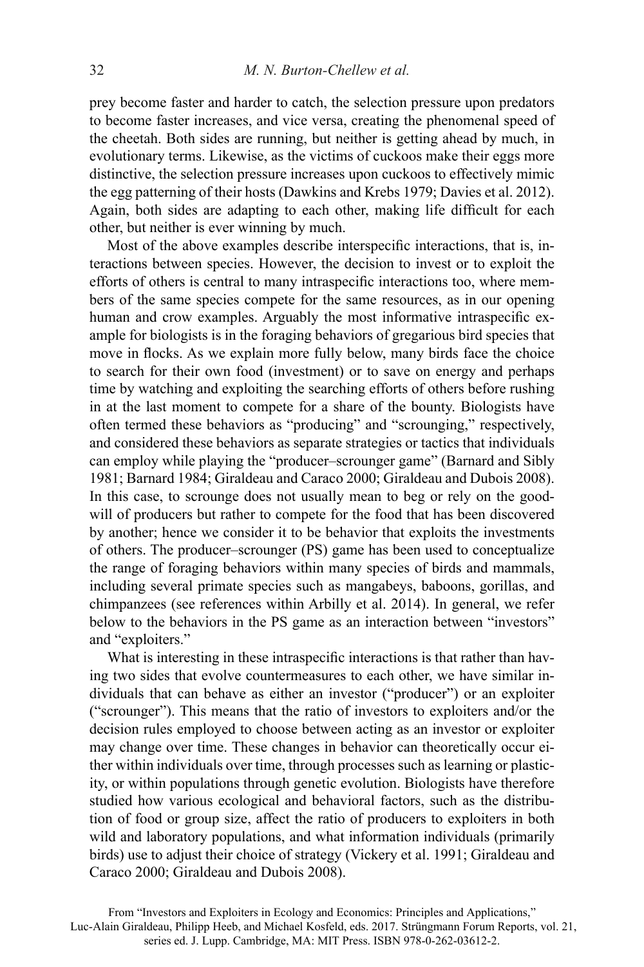prey become faster and harder to catch, the selection pressure upon predators to become faster increases, and vice versa, creating the phenomenal speed of the cheetah. Both sides are running, but neither is getting ahead by much, in evolutionary terms. Likewise, as the victims of cuckoos make their eggs more distinctive, the selection pressure increases upon cuckoos to effectively mimic the egg patterning of their hosts (Dawkins and Krebs 1979; Davies et al. 2012). Again, both sides are adapting to each other, making life difficult for each other, but neither is ever winning by much.

Most of the above examples describe interspecific interactions, that is, interactions between species. However, the decision to invest or to exploit the efforts of others is central to many intraspecific interactions too, where members of the same species compete for the same resources, as in our opening human and crow examples. Arguably the most informative intraspecific example for biologists is in the foraging behaviors of gregarious bird species that move in flocks. As we explain more fully below, many birds face the choice to search for their own food (investment) or to save on energy and perhaps time by watching and exploiting the searching efforts of others before rushing in at the last moment to compete for a share of the bounty. Biologists have often termed these behaviors as "producing" and " scrounging," respectively, and considered these behaviors as separate strategies or tactics that individuals can employ while playing the "producer-scrounger game" (Barnard and Sibly 1981; Barnard 1984; Giraldeau and Caraco 2000; Giraldeau and Dubois 2008). In this case, to scrounge does not usually mean to beg or rely on the goodwill of producers but rather to compete for the food that has been discovered by another; hence we consider it to be behavior that exploits the investments of others. The producer–scrounger (PS) game has been used to conceptualize the range of foraging behaviors within many species of birds and mammals, including several primate species such as mangabeys, baboons, gorillas, and chimpanzees (see references within Arbilly et al. 2014). In general, we refer below to the behaviors in the PS game as an interaction between "investors" and "exploiters."

What is interesting in these intraspecific interactions is that rather than having two sides that evolve countermeasures to each other, we have similar individuals that can behave as either an investor ("producer") or an exploiter ("scrounger"). This means that the ratio of investors to exploiters and/or the decision rules employed to choose between acting as an investor or exploiter may change over time. These changes in behavior can theoretically occur either within individuals over time, through processes such as learning or plasticity, or within populations through genetic evolution. Biologists have therefore studied how various ecological and behavioral factors, such as the distribution of food or group size, affect the ratio of producers to exploiters in both wild and laboratory populations, and what information individuals (primarily birds) use to adjust their choice of strategy (Vickery et al. 1991; Giraldeau and Caraco 2000; Giraldeau and Dubois 2008).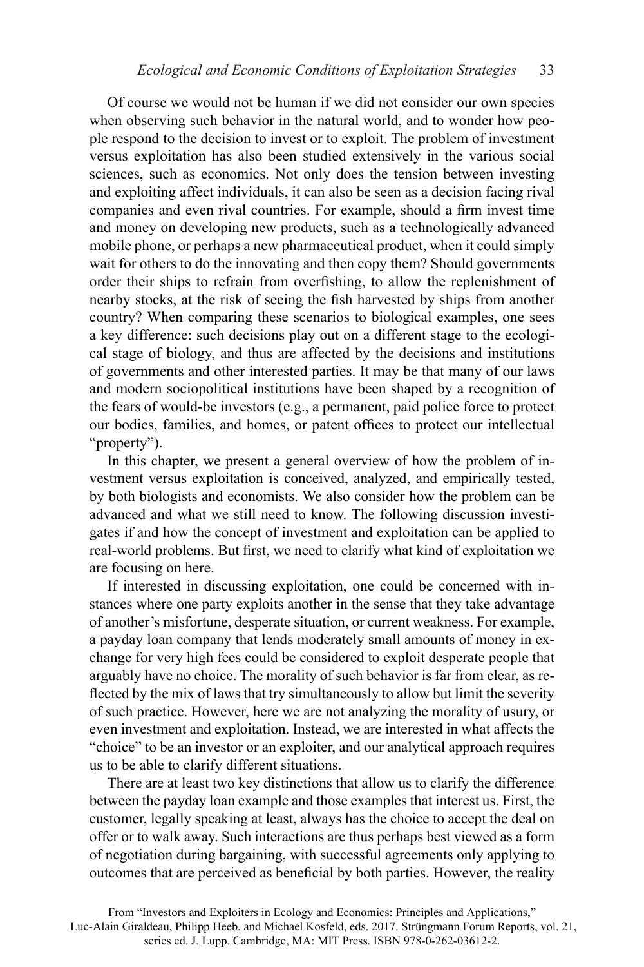Of course we would not be human if we did not consider our own species when observing such behavior in the natural world, and to wonder how people respond to the decision to invest or to exploit. The problem of investment versus exploitation has also been studied extensively in the various social sciences, such as economics. Not only does the tension between investing and exploiting affect individuals, it can also be seen as a decision facing rival companies and even rival countries. For example, should a firm invest time and money on developing new products, such as a technologically advanced mobile phone, or perhaps a new pharmaceutical product, when it could simply wait for others to do the innovating and then copy them? Should governments order their ships to refrain from overfishing, to allow the replenishment of nearby stocks, at the risk of seeing the fish harvested by ships from another country? When comparing these scenarios to biological examples, one sees a key difference: such decisions play out on a different stage to the ecological stage of biology, and thus are affected by the decisions and institutions of governments and other interested parties. It may be that many of our laws and modern sociopolitical institutions have been shaped by a recognition of the fears of would-be investors (e.g., a permanent, paid police force to protect our bodies, families, and homes, or patent offices to protect our intellectual "property").

In this chapter, we present a general overview of how the problem of investment versus exploitation is conceived, analyzed, and empirically tested, by both biologists and economists. We also consider how the problem can be advanced and what we still need to know. The following discussion investigates if and how the concept of investment and exploitation can be applied to real-world problems. But first, we need to clarify what kind of exploitation we are focusing on here.

If interested in discussing exploitation, one could be concerned with instances where one party exploits another in the sense that they take advantage of another's misfortune, desperate situation, or current weakness. For example, a payday loan company that lends moderately small amounts of money in exchange for very high fees could be considered to exploit desperate people that arguably have no choice. The morality of such behavior is far from clear, as reflected by the mix of laws that try simultaneously to allow but limit the severity of such practice. However, here we are not analyzing the morality of usury, or even investment and exploitation. Instead, we are interested in what affects the "choice" to be an investor or an exploiter, and our analytical approach requires us to be able to clarify different situations.

There are at least two key distinctions that allow us to clarify the difference between the payday loan example and those examples that interest us. First, the customer, legally speaking at least, always has the choice to accept the deal on offer or to walk away. Such interactions are thus perhaps best viewed as a form of negotiation during bargaining, with successful agreements only applying to outcomes that are perceived as beneficial by both parties. However, the reality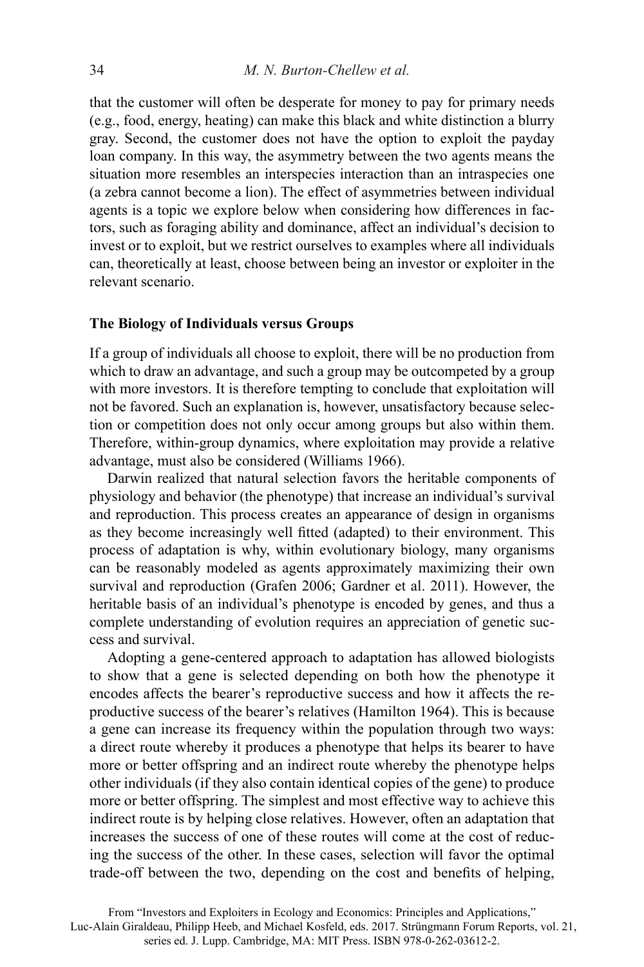that the customer will often be desperate for money to pay for primary needs (e.g., food, energy, heating) can make this black and white distinction a blurry gray. Second, the customer does not have the option to exploit the payday loan company. In this way, the asymmetry between the two agents means the situation more resembles an interspecies interaction than an intraspecies one (a zebra cannot become a lion). The effect of asymmetries between individual agents is a topic we explore below when considering how differences in factors, such as foraging ability and dominance, affect an individual's decision to invest or to exploit, but we restrict ourselves to examples where all individuals can, theoretically at least, choose between being an investor or exploiter in the relevant scenario.

## **The Biology of Individuals versus Groups**

If a group of individuals all choose to exploit, there will be no production from which to draw an advantage, and such a group may be outcompeted by a group with more investors. It is therefore tempting to conclude that exploitation will not be favored. Such an explanation is, however, unsatisfactory because selection or competition does not only occur among groups but also within them. Therefore, within-group dynamics, where exploitation may provide a relative advantage, must also be considered (Williams 1966).

Darwin realized that natural selection favors the heritable components of physiology and behavior (the phenotype) that increase an individual's survival and reproduction. This process creates an appearance of design in organisms as they become increasingly well fitted (adapted) to their environment. This process of adaptation is why, within evolutionary biology, many organisms can be reasonably modeled as agents approximately maximizing their own survival and reproduction (Grafen 2006; Gardner et al. 2011). However, the heritable basis of an individual's phenotype is encoded by genes, and thus a complete understanding of evolution requires an appreciation of genetic success and survival.

Adopting a gene-centered approach to adaptation has allowed biologists to show that a gene is selected depending on both how the phenotype it encodes affects the bearer's reproductive success and how it affects the reproductive success of the bearer's relatives (Hamilton 1964). This is because a gene can increase its frequency within the population through two ways: a direct route whereby it produces a phenotype that helps its bearer to have more or better offspring and an indirect route whereby the phenotype helps other individuals (if they also contain identical copies of the gene) to produce more or better offspring. The simplest and most effective way to achieve this indirect route is by helping close relatives. However, often an adaptation that increases the success of one of these routes will come at the cost of reducing the success of the other. In these cases, selection will favor the optimal trade-off between the two, depending on the cost and benefits of helping,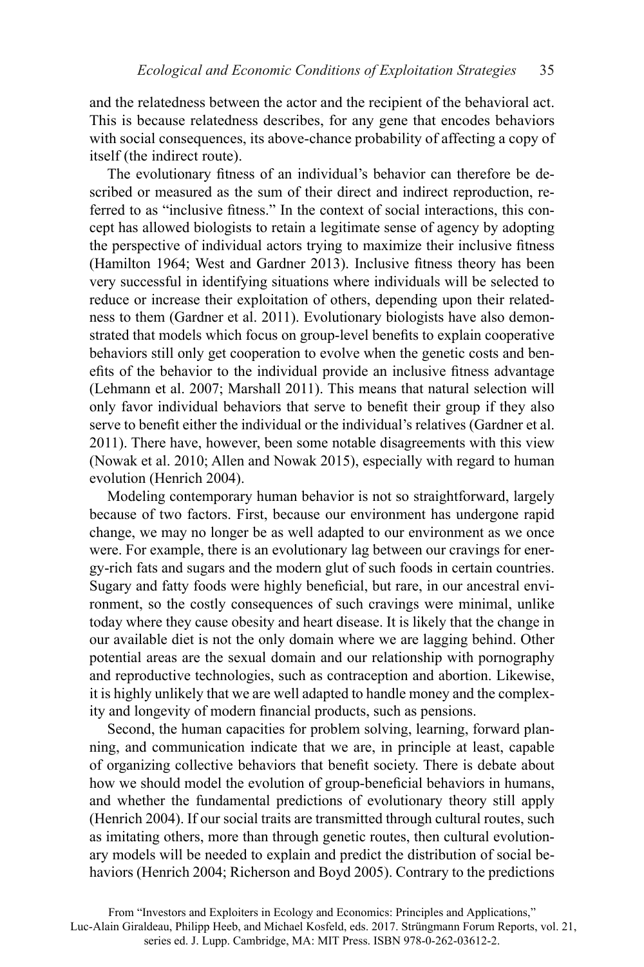and the relatedness between the actor and the recipient of the behavioral act. This is because relatedness describes, for any gene that encodes behaviors with social consequences, its above-chance probability of affecting a copy of itself (the indirect route).

The evolutionary fitness of an individual's behavior can therefore be described or measured as the sum of their direct and indirect reproduction, referred to as "inclusive fitness." In the context of social interactions, this concept has allowed biologists to retain a legitimate sense of agency by adopting the perspective of individual actors trying to maximize their inclusive fitness (Hamilton 1964; West and Gardner 2013). Inclusive fitness theory has been very successful in identifying situations where individuals will be selected to reduce or increase their exploitation of others, depending upon their relatedness to them (Gardner et al. 2011). Evolutionary biologists have also demonstrated that models which focus on group-level benefits to explain cooperative behaviors still only get cooperation to evolve when the genetic costs and benefits of the behavior to the individual provide an inclusive fitness advantage (Lehmann et al. 2007; Marshall 2011). This means that natural selection will only favor individual behaviors that serve to benefit their group if they also serve to benefit either the individual or the individual's relatives (Gardner et al. 2011). There have, however, been some notable disagreements with this view (Nowak et al. 2010; Allen and Nowak 2015), especially with regard to human evolution (Henrich 2004).

Modeling contemporary human behavior is not so straightforward, largely because of two factors. First, because our environment has undergone rapid change, we may no longer be as well adapted to our environment as we once were. For example, there is an evolutionary lag between our cravings for energy-rich fats and sugars and the modern glut of such foods in certain countries. Sugary and fatty foods were highly beneficial, but rare, in our ancestral environment, so the costly consequences of such cravings were minimal, unlike today where they cause obesity and heart disease. It is likely that the change in our available diet is not the only domain where we are lagging behind. Other potential areas are the sexual domain and our relationship with pornography and reproductive technologies, such as contraception and abortion. Likewise, it is highly unlikely that we are well adapted to handle money and the complexity and longevity of modern financial products, such as pensions.

Second, the human capacities for problem solving, learning, forward planning, and communication indicate that we are, in principle at least, capable of organizing collective behaviors that benefi t society. There is debate about how we should model the evolution of group-beneficial behaviors in humans, and whether the fundamental predictions of evolutionary theory still apply (Henrich 2004). If our social traits are transmitted through cultural routes, such as imitating others, more than through genetic routes, then cultural evolutionary models will be needed to explain and predict the distribution of social behaviors (Henrich 2004; Richerson and Boyd 2005). Contrary to the predictions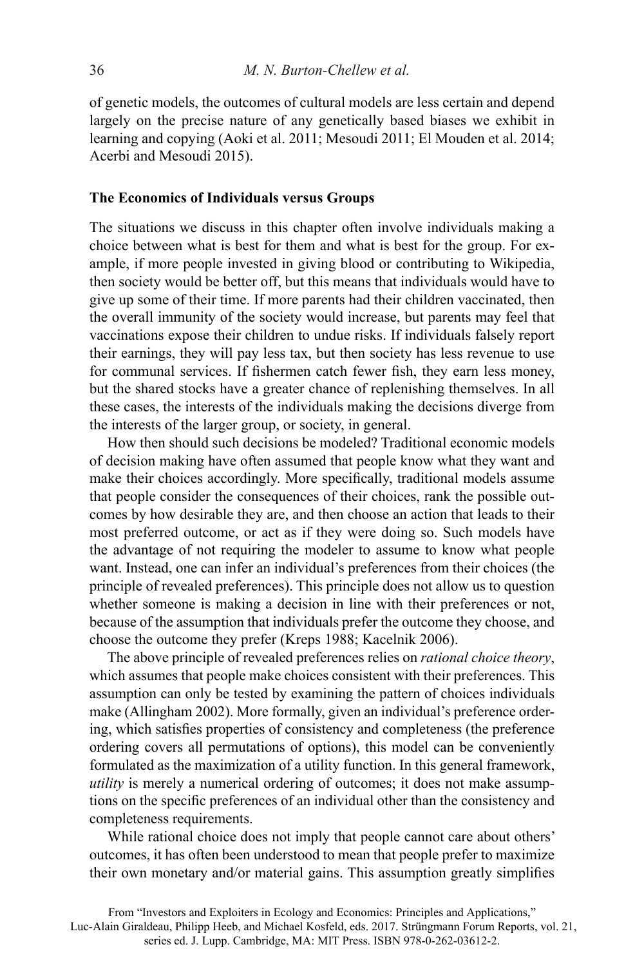of genetic models, the outcomes of cultural models are less certain and depend largely on the precise nature of any genetically based biases we exhibit in learning and copying (Aoki et al. 2011; Mesoudi 2011; El Mouden et al. 2014; Acerbi and Mesoudi 2015).

# **The Economics of Individuals versus Groups**

The situations we discuss in this chapter often involve individuals making a choice between what is best for them and what is best for the group. For example, if more people invested in giving blood or contributing to Wikipedia, then society would be better off, but this means that individuals would have to give up some of their time. If more parents had their children vaccinated, then the overall immunity of the society would increase, but parents may feel that vaccinations expose their children to undue risks. If individuals falsely report their earnings, they will pay less tax, but then society has less revenue to use for communal services. If fishermen catch fewer fish, they earn less money, but the shared stocks have a greater chance of replenishing themselves. In all these cases, the interests of the individuals making the decisions diverge from the interests of the larger group, or society, in general.

How then should such decisions be modeled? Traditional economic models of decision making have often assumed that people know what they want and make their choices accordingly. More specifically, traditional models assume that people consider the consequences of their choices, rank the possible outcomes by how desirable they are, and then choose an action that leads to their most preferred outcome, or act as if they were doing so. Such models have the advantage of not requiring the modeler to assume to know what people want. Instead, one can infer an individual's preferences from their choices (the principle of revealed preferences). This principle does not allow us to question whether someone is making a decision in line with their preferences or not, because of the assumption that individuals prefer the outcome they choose, and choose the outcome they prefer (Kreps 1988; Kacelnik 2006).

The above principle of revealed preferences relies on *rational choice theory*, which assumes that people make choices consistent with their preferences. This assumption can only be tested by examining the pattern of choices individuals make (Allingham 2002). More formally, given an individual's preference ordering, which satisfies properties of consistency and completeness (the preference ordering covers all permutations of options), this model can be conveniently formulated as the maximization of a utility function. In this general framework, *utility* is merely a numerical ordering of outcomes; it does not make assumptions on the specific preferences of an individual other than the consistency and completeness requirements.

While rational choice does not imply that people cannot care about others' outcomes, it has often been understood to mean that people prefer to maximize their own monetary and/or material gains. This assumption greatly simplifies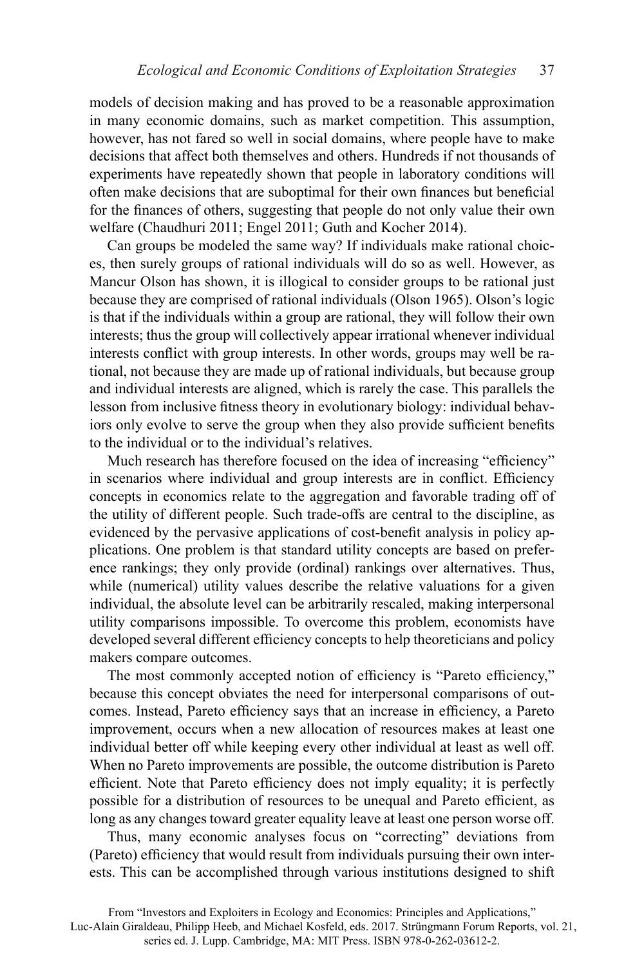models of decision making and has proved to be a reasonable approximation in many economic domains, such as market competition. This assumption, however, has not fared so well in social domains, where people have to make decisions that affect both themselves and others. Hundreds if not thousands of experiments have repeatedly shown that people in laboratory conditions will often make decisions that are suboptimal for their own finances but beneficial for the finances of others, suggesting that people do not only value their own welfare (Chaudhuri 2011; Engel 2011; Guth and Kocher 2014).

Can groups be modeled the same way? If individuals make rational choices, then surely groups of rational individuals will do so as well. However, as Mancur Olson has shown, it is illogical to consider groups to be rational just because they are comprised of rational individuals (Olson 1965). Olson's logic is that if the individuals within a group are rational, they will follow their own interests; thus the group will collectively appear irrational whenever individual interests conflict with group interests. In other words, groups may well be rational, not because they are made up of rational individuals, but because group and individual interests are aligned, which is rarely the case. This parallels the lesson from inclusive fitness theory in evolutionary biology: individual behaviors only evolve to serve the group when they also provide sufficient benefits to the individual or to the individual's relatives.

Much research has therefore focused on the idea of increasing "efficiency" in scenarios where individual and group interests are in conflict. Efficiency concepts in economics relate to the aggregation and favorable trading off of the utility of different people. Such trade-offs are central to the discipline, as evidenced by the pervasive applications of cost-benefit analysis in policy applications. One problem is that standard utility concepts are based on preference rankings; they only provide (ordinal) rankings over alternatives. Thus, while (numerical) utility values describe the relative valuations for a given individual, the absolute level can be arbitrarily rescaled, making interpersonal utility comparisons impossible. To overcome this problem, economists have developed several different efficiency concepts to help theoreticians and policy makers compare outcomes.

The most commonly accepted notion of efficiency is "Pareto efficiency," because this concept obviates the need for interpersonal comparisons of outcomes. Instead, Pareto efficiency says that an increase in efficiency, a Pareto improvement, occurs when a new allocation of resources makes at least one individual better off while keeping every other individual at least as well off. When no Pareto improvements are possible, the outcome distribution is Pareto efficient. Note that Pareto efficiency does not imply equality; it is perfectly possible for a distribution of resources to be unequal and Pareto efficient, as long as any changes toward greater equality leave at least one person worse off.

Thus, many economic analyses focus on "correcting" deviations from (Pareto) efficiency that would result from individuals pursuing their own interests. This can be accomplished through various institutions designed to shift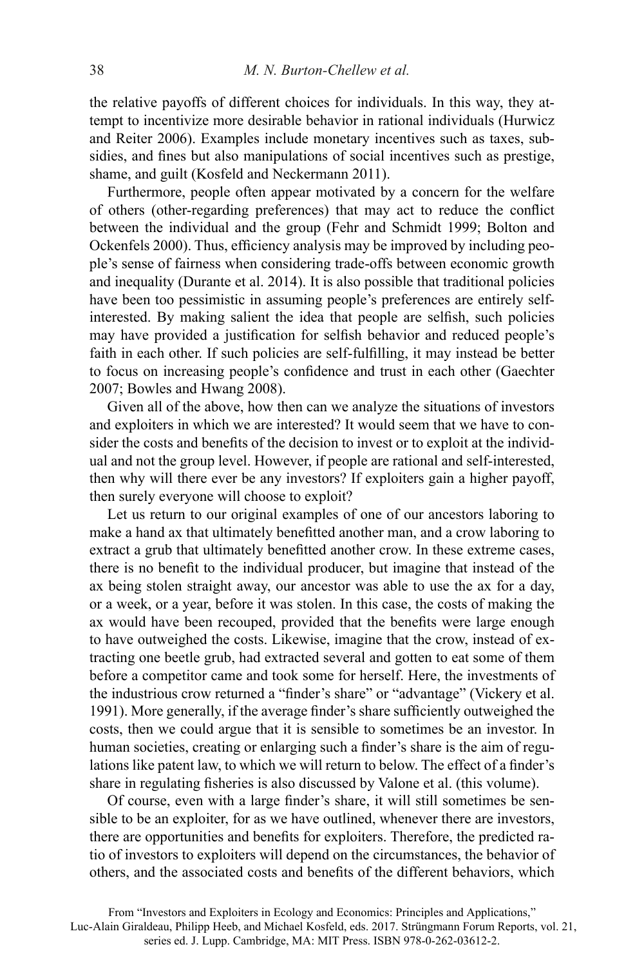the relative payoffs of different choices for individuals. In this way, they attempt to incentivize more desirable behavior in rational individuals (Hurwicz and Reiter 2006). Examples include monetary incentives such as taxes, subsidies, and fines but also manipulations of social incentives such as prestige, shame, and guilt (Kosfeld and Neckermann 2011).

Furthermore, people often appear motivated by a concern for the welfare of others (other-regarding preferences) that may act to reduce the conflict between the individual and the group (Fehr and Schmidt 1999; Bolton and Ockenfels 2000). Thus, efficiency analysis may be improved by including people's sense of fairness when considering trade-offs between economic growth and inequality (Durante et al. 2014). It is also possible that traditional policies have been too pessimistic in assuming people's preferences are entirely selfinterested. By making salient the idea that people are selfish, such policies may have provided a justification for selfish behavior and reduced people's faith in each other. If such policies are self-fulfilling, it may instead be better to focus on increasing people's confidence and trust in each other (Gaechter 2007; Bowles and Hwang 2008).

Given all of the above, how then can we analyze the situations of investors and exploiters in which we are interested? It would seem that we have to consider the costs and benefits of the decision to invest or to exploit at the individual and not the group level. However, if people are rational and self-interested, then why will there ever be any investors? If exploiters gain a higher payoff, then surely everyone will choose to exploit?

Let us return to our original examples of one of our ancestors laboring to make a hand ax that ultimately benefitted another man, and a crow laboring to extract a grub that ultimately benefitted another crow. In these extreme cases, there is no benefit to the individual producer, but imagine that instead of the ax being stolen straight away, our ancestor was able to use the ax for a day, or a week, or a year, before it was stolen. In this case, the costs of making the ax would have been recouped, provided that the benefits were large enough to have outweighed the costs. Likewise, imagine that the crow, instead of extracting one beetle grub, had extracted several and gotten to eat some of them before a competitor came and took some for herself. Here, the investments of the industrious crow returned a "finder's share" or "advantage" (Vickery et al. 1991). More generally, if the average finder's share sufficiently outweighed the costs, then we could argue that it is sensible to sometimes be an investor. In human societies, creating or enlarging such a finder's share is the aim of regulations like patent law, to which we will return to below. The effect of a finder's share in regulating fisheries is also discussed by Valone et al. (this volume).

Of course, even with a large finder's share, it will still sometimes be sensible to be an exploiter, for as we have outlined, whenever there are investors, there are opportunities and benefits for exploiters. Therefore, the predicted ratio of investors to exploiters will depend on the circumstances, the behavior of others, and the associated costs and benefits of the different behaviors, which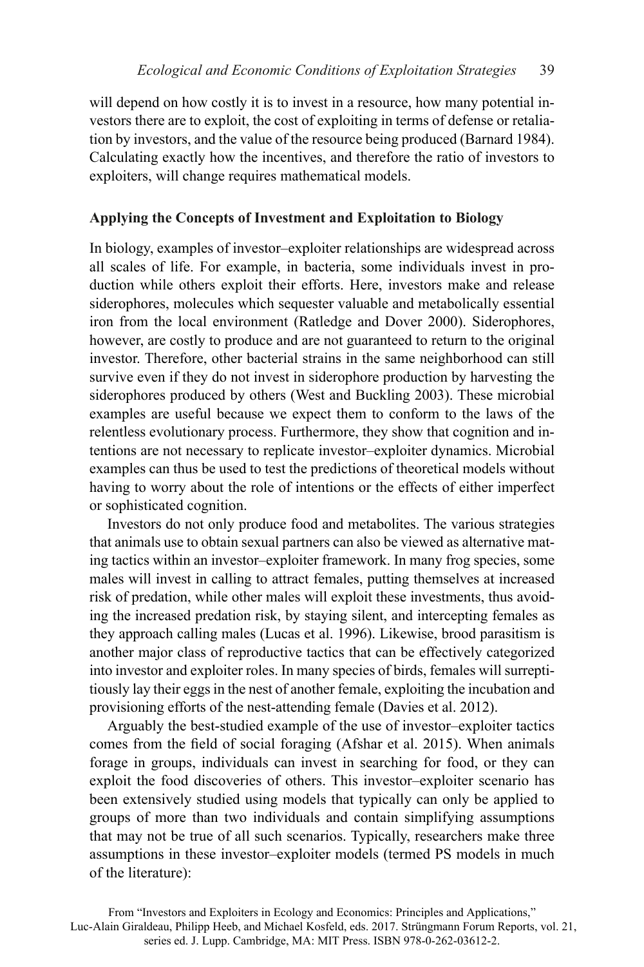will depend on how costly it is to invest in a resource, how many potential investors there are to exploit, the cost of exploiting in terms of defense or retaliation by investors, and the value of the resource being produced (Barnard 1984). Calculating exactly how the incentives, and therefore the ratio of investors to exploiters, will change requires mathematical models.

# **Applying the Concepts of Investment and Exploitation to Biology**

In biology, examples of investor–exploiter relationships are widespread across all scales of life. For example, in bacteria, some individuals invest in production while others exploit their efforts. Here, investors make and release siderophores, molecules which sequester valuable and metabolically essential iron from the local environment (Ratledge and Dover 2000). Siderophores, however, are costly to produce and are not guaranteed to return to the original investor. Therefore, other bacterial strains in the same neighborhood can still survive even if they do not invest in siderophore production by harvesting the siderophores produced by others (West and Buckling 2003). These microbial examples are useful because we expect them to conform to the laws of the relentless evolutionary process. Furthermore, they show that cognition and intentions are not necessary to replicate investor–exploiter dynamics. Microbial examples can thus be used to test the predictions of theoretical models without having to worry about the role of intentions or the effects of either imperfect or sophisticated cognition.

Investors do not only produce food and metabolites. The various strategies that animals use to obtain sexual partners can also be viewed as alternative mating tactics within an investor–exploiter framework. In many frog species, some males will invest in calling to attract females, putting themselves at increased risk of predation, while other males will exploit these investments, thus avoiding the increased predation risk, by staying silent, and intercepting females as they approach calling males (Lucas et al. 1996). Likewise, brood parasitism is another major class of reproductive tactics that can be effectively categorized into investor and exploiter roles. In many species of birds, females will surreptitiously lay their eggs in the nest of another female, exploiting the incubation and provisioning efforts of the nest-attending female (Davies et al. 2012).

Arguably the best-studied example of the use of investor–exploiter tactics comes from the field of social foraging (Afshar et al. 2015). When animals forage in groups, individuals can invest in searching for food, or they can exploit the food discoveries of others. This investor–exploiter scenario has been extensively studied using models that typically can only be applied to groups of more than two individuals and contain simplifying assumptions that may not be true of all such scenarios. Typically, researchers make three assumptions in these investor–exploiter models (termed PS models in much of the literature):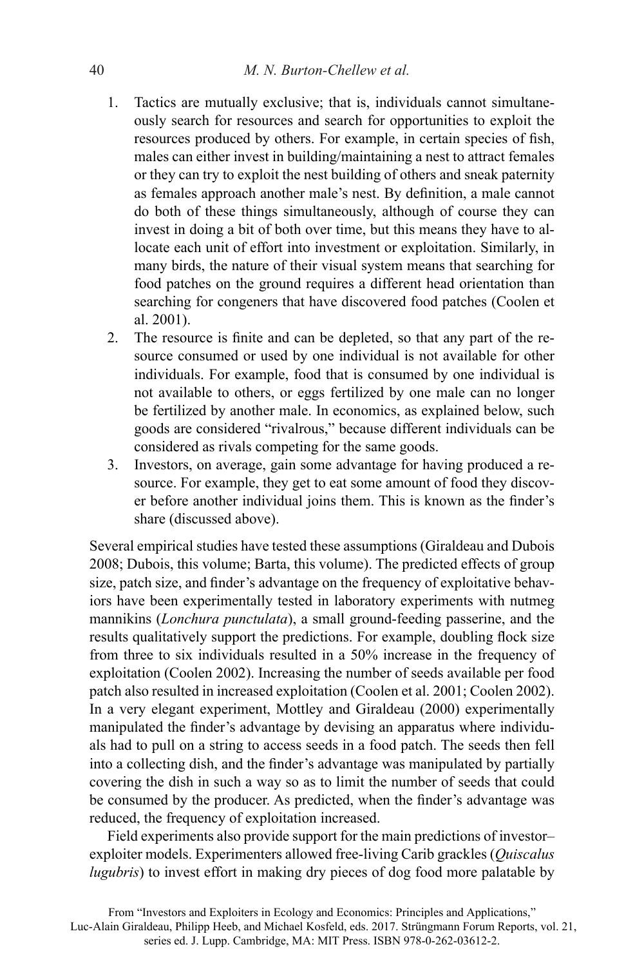- 1. Tactics are mutually exclusive; that is, individuals cannot simultaneously search for resources and search for opportunities to exploit the resources produced by others. For example, in certain species of fish, males can either invest in building/maintaining a nest to attract females or they can try to exploit the nest building of others and sneak paternity as females approach another male's nest. By definition, a male cannot do both of these things simultaneously, although of course they can invest in doing a bit of both over time, but this means they have to allocate each unit of effort into investment or exploitation. Similarly, in many birds, the nature of their visual system means that searching for food patches on the ground requires a different head orientation than searching for congeners that have discovered food patches (Coolen et al. 2001).
- 2. The resource is finite and can be depleted, so that any part of the resource consumed or used by one individual is not available for other individuals. For example, food that is consumed by one individual is not available to others, or eggs fertilized by one male can no longer be fertilized by another male. In economics, as explained below, such goods are considered " rivalrous," because different individuals can be considered as rivals competing for the same goods.
- 3. Investors, on average, gain some advantage for having produced a resource. For example, they get to eat some amount of food they discover before another individual joins them. This is known as the finder's share (discussed above).

Several empirical studies have tested these assumptions (Giraldeau and Dubois 2008; Dubois, this volume; Barta, this volume). The predicted effects of group size, patch size, and finder's advantage on the frequency of exploitative behaviors have been experimentally tested in laboratory experiments with nutmeg mannikins (*Lonchura punctulata*), a small ground-feeding passerine, and the results qualitatively support the predictions. For example, doubling flock size from three to six individuals resulted in a 50% increase in the frequency of exploitation (Coolen 2002). Increasing the number of seeds available per food patch also resulted in increased exploitation (Coolen et al. 2001; Coolen 2002). In a very elegant experiment, Mottley and Giraldeau (2000) experimentally manipulated the finder's advantage by devising an apparatus where individuals had to pull on a string to access seeds in a food patch. The seeds then fell into a collecting dish, and the finder's advantage was manipulated by partially covering the dish in such a way so as to limit the number of seeds that could be consumed by the producer. As predicted, when the finder's advantage was reduced, the frequency of exploitation increased.

Field experiments also provide support for the main predictions of investor– exploiter models. Experimenters allowed free-living Carib grackles ( *Quiscalus lugubris*) to invest effort in making dry pieces of dog food more palatable by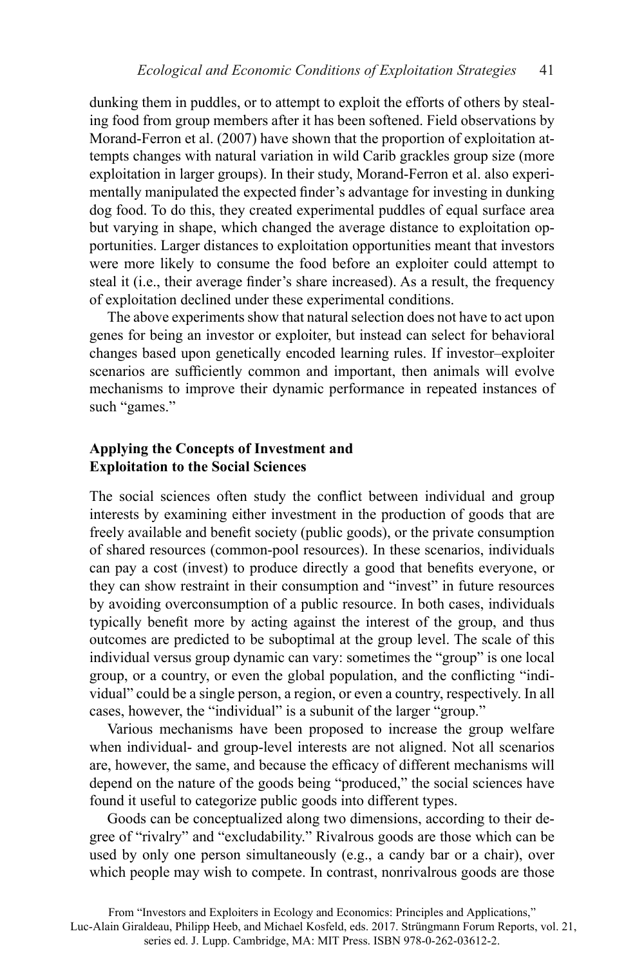dunking them in puddles, or to attempt to exploit the efforts of others by stealing food from group members after it has been softened. Field observations by Morand-Ferron et al. (2007) have shown that the proportion of exploitation attempts changes with natural variation in wild Carib grackles group size (more exploitation in larger groups). In their study, Morand-Ferron et al. also experimentally manipulated the expected finder's advantage for investing in dunking dog food. To do this, they created experimental puddles of equal surface area but varying in shape, which changed the average distance to exploitation opportunities. Larger distances to exploitation opportunities meant that investors were more likely to consume the food before an exploiter could attempt to steal it (i.e., their average finder's share increased). As a result, the frequency of exploitation declined under these experimental conditions.

The above experiments show that natural selection does not have to act upon genes for being an investor or exploiter, but instead can select for behavioral changes based upon genetically encoded learning rules. If investor–exploiter scenarios are sufficiently common and important, then animals will evolve mechanisms to improve their dynamic performance in repeated instances of such "games."

# **Applying the Concepts of Investment and Exploitation to the Social Sciences**

The social sciences often study the conflict between individual and group interests by examining either investment in the production of goods that are freely available and benefit society (public goods), or the private consumption of shared resources ( common-pool resources). In these scenarios, individuals can pay a cost (invest) to produce directly a good that benefits everyone, or they can show restraint in their consumption and "invest" in future resources by avoiding overconsumption of a public resource. In both cases, individuals typically benefit more by acting against the interest of the group, and thus outcomes are predicted to be suboptimal at the group level. The scale of this individual versus group dynamic can vary: sometimes the "group" is one local group, or a country, or even the global population, and the conflicting "individual" could be a single person, a region, or even a country, respectively. In all cases, however, the "individual" is a subunit of the larger "group."

Various mechanisms have been proposed to increase the group welfare when individual- and group-level interests are not aligned. Not all scenarios are, however, the same, and because the efficacy of different mechanisms will depend on the nature of the goods being "produced," the social sciences have found it useful to categorize public goods into different types.

Goods can be conceptualized along two dimensions, according to their degree of "rivalry" and "excludability." Rivalrous goods are those which can be used by only one person simultaneously (e.g., a candy bar or a chair), over which people may wish to compete. In contrast, nonrivalrous goods are those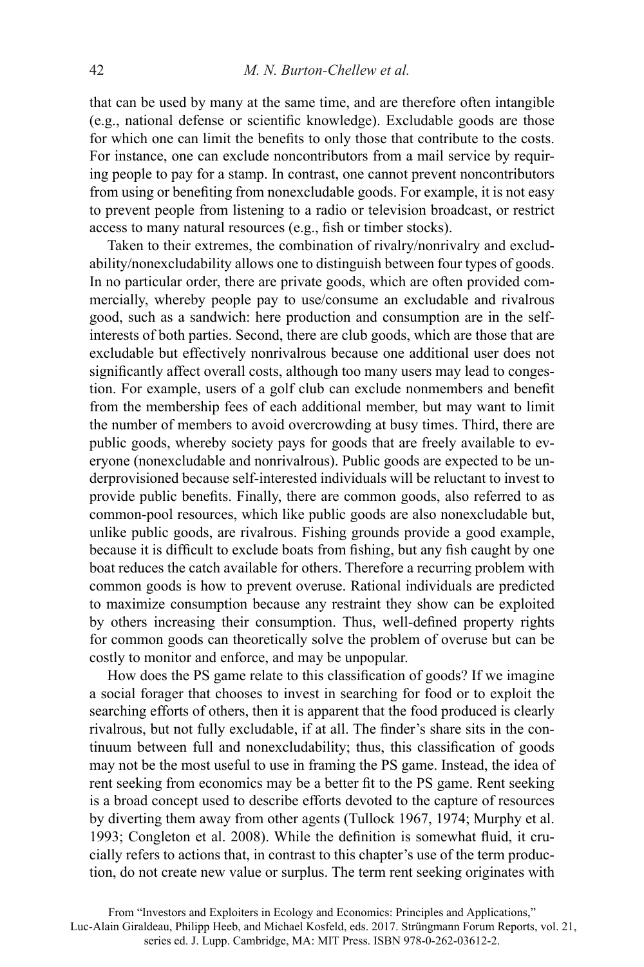that can be used by many at the same time, and are therefore often intangible  $(e.g.,$  national defense or scientific knowledge). Excludable goods are those for which one can limit the benefits to only those that contribute to the costs. For instance, one can exclude noncontributors from a mail service by requiring people to pay for a stamp. In contrast, one cannot prevent noncontributors from using or benefiting from nonexcludable goods. For example, it is not easy to prevent people from listening to a radio or television broadcast, or restrict access to many natural resources (e.g., fish or timber stocks).

Taken to their extremes, the combination of rivalry/nonrivalry and excludability/nonexcludability allows one to distinguish between four types of goods. In no particular order, there are private goods, which are often provided commercially, whereby people pay to use/consume an excludable and rivalrous good, such as a sandwich: here production and consumption are in the selfinterests of both parties. Second, there are club goods, which are those that are excludable but effectively nonrivalrous because one additional user does not significantly affect overall costs, although too many users may lead to congestion. For example, users of a golf club can exclude nonmembers and benefit from the membership fees of each additional member, but may want to limit the number of members to avoid overcrowding at busy times. Third, there are public goods, whereby society pays for goods that are freely available to everyone (nonexcludable and nonrivalrous). Public goods are expected to be underprovisioned because self-interested individuals will be reluctant to invest to provide public benefits. Finally, there are common goods, also referred to as common-pool resources, which like public goods are also nonexcludable but, unlike public goods, are rivalrous. Fishing grounds provide a good example, because it is difficult to exclude boats from fishing, but any fish caught by one boat reduces the catch available for others. Therefore a recurring problem with common goods is how to prevent overuse. Rational individuals are predicted to maximize consumption because any restraint they show can be exploited by others increasing their consumption. Thus, well-defined property rights for common goods can theoretically solve the problem of overuse but can be costly to monitor and enforce, and may be unpopular.

How does the PS game relate to this classification of goods? If we imagine a social forager that chooses to invest in searching for food or to exploit the searching efforts of others, then it is apparent that the food produced is clearly rivalrous, but not fully excludable, if at all. The finder's share sits in the continuum between full and nonexcludability; thus, this classification of goods may not be the most useful to use in framing the PS game. Instead, the idea of rent seeking from economics may be a better fit to the PS game. Rent seeking is a broad concept used to describe efforts devoted to the capture of resources by diverting them away from other agents (Tullock 1967, 1974; Murphy et al. 1993; Congleton et al. 2008). While the definition is somewhat fluid, it crucially refers to actions that, in contrast to this chapter's use of the term production, do not create new value or surplus. The term rent seeking originates with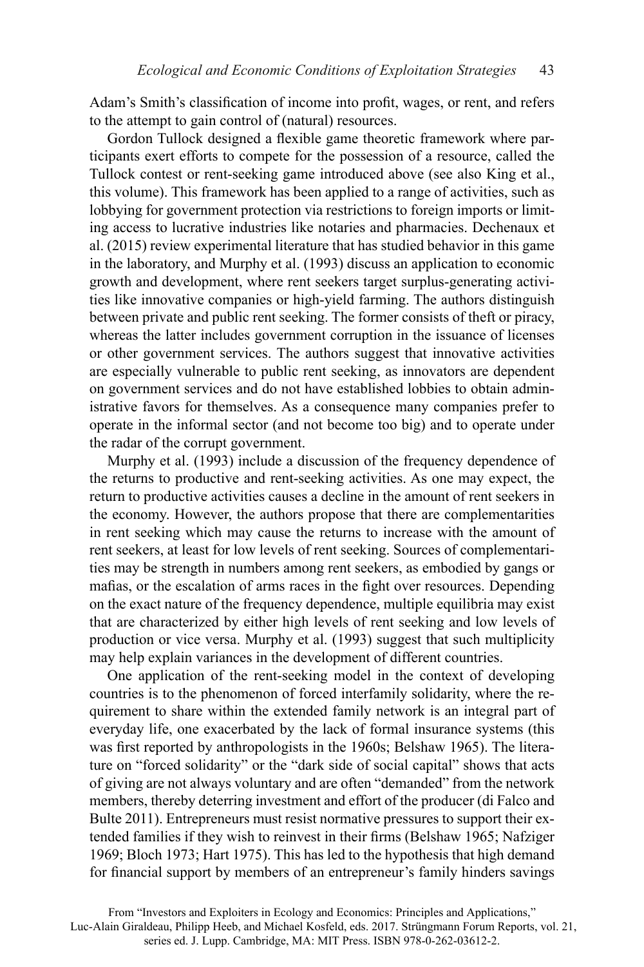Adam's Smith's classification of income into profit, wages, or rent, and refers to the attempt to gain control of (natural) resources.

Gordon Tullock designed a flexible game theoretic framework where participants exert efforts to compete for the possession of a resource, called the Tullock contest or rent-seeking game introduced above (see also King et al., this volume). This framework has been applied to a range of activities, such as lobbying for government protection via restrictions to foreign imports or limiting access to lucrative industries like notaries and pharmacies. Dechenaux et al. (2015) review experimental literature that has studied behavior in this game in the laboratory, and Murphy et al. (1993) discuss an application to economic growth and development, where rent seekers target surplus-generating activities like innovative companies or high-yield farming. The authors distinguish between private and public rent seeking. The former consists of theft or piracy, whereas the latter includes government corruption in the issuance of licenses or other government services. The authors suggest that innovative activities are especially vulnerable to public rent seeking, as innovators are dependent on government services and do not have established lobbies to obtain administrative favors for themselves. As a consequence many companies prefer to operate in the informal sector (and not become too big) and to operate under the radar of the corrupt government.

Murphy et al. (1993) include a discussion of the frequency dependence of the returns to productive and rent-seeking activities. As one may expect, the return to productive activities causes a decline in the amount of rent seekers in the economy. However, the authors propose that there are complementarities in rent seeking which may cause the returns to increase with the amount of rent seekers, at least for low levels of rent seeking. Sources of complementarities may be strength in numbers among rent seekers, as embodied by gangs or mafias, or the escalation of arms races in the fight over resources. Depending on the exact nature of the frequency dependence, multiple equilibria may exist that are characterized by either high levels of rent seeking and low levels of production or vice versa. Murphy et al. (1993) suggest that such multiplicity may help explain variances in the development of different countries.

One application of the rent-seeking model in the context of developing countries is to the phenomenon of forced interfamily solidarity, where the requirement to share within the extended family network is an integral part of everyday life, one exacerbated by the lack of formal insurance systems (this was first reported by anthropologists in the 1960s; Belshaw 1965). The literature on "forced solidarity" or the "dark side of social capital" shows that acts of giving are not always voluntary and are often "demanded" from the network members, thereby deterring investment and effort of the producer (di Falco and Bulte 2011). Entrepreneurs must resist normative pressures to support their extended families if they wish to reinvest in their firms (Belshaw 1965; Nafziger 1969; Bloch 1973; Hart 1975). This has led to the hypothesis that high demand for financial support by members of an entrepreneur's family hinders savings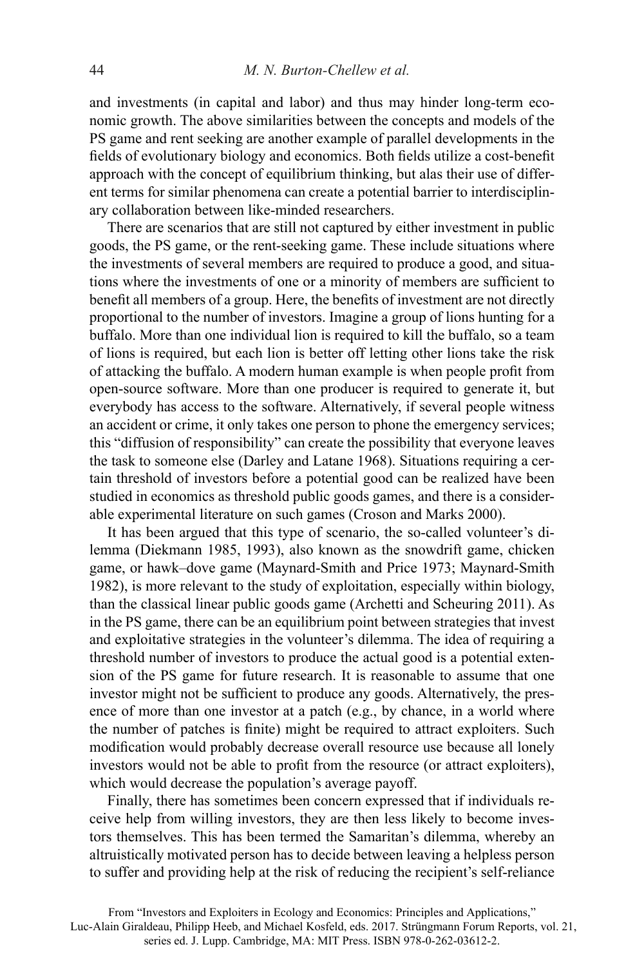and investments (in capital and labor) and thus may hinder long-term economic growth. The above similarities between the concepts and models of the PS game and rent seeking are another example of parallel developments in the fields of evolutionary biology and economics. Both fields utilize a cost-benefit approach with the concept of equilibrium thinking, but alas their use of different terms for similar phenomena can create a potential barrier to interdisciplinary collaboration between like-minded researchers.

There are scenarios that are still not captured by either investment in public goods, the PS game, or the rent-seeking game. These include situations where the investments of several members are required to produce a good, and situations where the investments of one or a minority of members are sufficient to benefit all members of a group. Here, the benefits of investment are not directly proportional to the number of investors. Imagine a group of lions hunting for a buffalo. More than one individual lion is required to kill the buffalo, so a team of lions is required, but each lion is better off letting other lions take the risk of attacking the buffalo. A modern human example is when people profi t from open-source software. More than one producer is required to generate it, but everybody has access to the software. Alternatively, if several people witness an accident or crime, it only takes one person to phone the emergency services; this "diffusion of responsibility" can create the possibility that everyone leaves the task to someone else (Darley and Latane 1968). Situations requiring a certain threshold of investors before a potential good can be realized have been studied in economics as threshold public goods games, and there is a considerable experimental literature on such games (Croson and Marks 2000).

It has been argued that this type of scenario, the so-called volunteer's dilemma (Diekmann 1985, 1993), also known as the snowdrift game, chicken game, or hawk–dove game (Maynard-Smith and Price 1973; Maynard-Smith 1982), is more relevant to the study of exploitation, especially within biology, than the classical linear public goods game (Archetti and Scheuring 2011). As in the PS game, there can be an equilibrium point between strategies that invest and exploitative strategies in the volunteer's dilemma. The idea of requiring a threshold number of investors to produce the actual good is a potential extension of the PS game for future research. It is reasonable to assume that one investor might not be sufficient to produce any goods. Alternatively, the presence of more than one investor at a patch (e.g., by chance, in a world where the number of patches is finite) might be required to attract exploiters. Such modification would probably decrease overall resource use because all lonely investors would not be able to profit from the resource (or attract exploiters), which would decrease the population's average payoff.

Finally, there has sometimes been concern expressed that if individuals receive help from willing investors, they are then less likely to become investors themselves. This has been termed the Samaritan's dilemma, whereby an altruistically motivated person has to decide between leaving a helpless person to suffer and providing help at the risk of reducing the recipient's self-reliance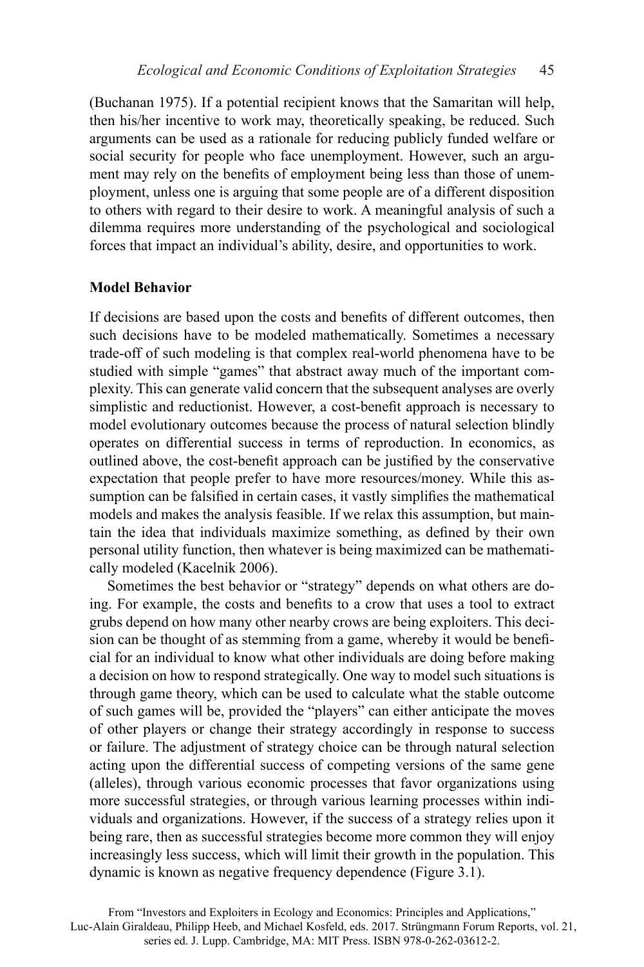(Buchanan 1975). If a potential recipient knows that the Samaritan will help, then his/her incentive to work may, theoretically speaking, be reduced. Such arguments can be used as a rationale for reducing publicly funded welfare or social security for people who face unemployment. However, such an argument may rely on the benefits of employment being less than those of unemployment, unless one is arguing that some people are of a different disposition to others with regard to their desire to work. A meaningful analysis of such a dilemma requires more understanding of the psychological and sociological forces that impact an individual's ability, desire, and opportunities to work.

#### **Model Behavior**

If decisions are based upon the costs and benefits of different outcomes, then such decisions have to be modeled mathematically. Sometimes a necessary trade-off of such modeling is that complex real-world phenomena have to be studied with simple "games" that abstract away much of the important complexity. This can generate valid concern that the subsequent analyses are overly simplistic and reductionist. However, a cost-benefit approach is necessary to model evolutionary outcomes because the process of natural selection blindly operates on differential success in terms of reproduction. In economics, as outlined above, the cost-benefit approach can be justified by the conservative expectation that people prefer to have more resources/money. While this assumption can be falsified in certain cases, it vastly simplifies the mathematical models and makes the analysis feasible. If we relax this assumption, but maintain the idea that individuals maximize something, as defined by their own personal utility function, then whatever is being maximized can be mathematically modeled (Kacelnik 2006).

Sometimes the best behavior or "strategy" depends on what others are doing. For example, the costs and benefits to a crow that uses a tool to extract grubs depend on how many other nearby crows are being exploiters. This decision can be thought of as stemming from a game, whereby it would be beneficial for an individual to know what other individuals are doing before making a decision on how to respond strategically. One way to model such situations is through game theory, which can be used to calculate what the stable outcome of such games will be, provided the "players" can either anticipate the moves of other players or change their strategy accordingly in response to success or failure. The adjustment of strategy choice can be through natural selection acting upon the differential success of competing versions of the same gene (alleles), through various economic processes that favor organizations using more successful strategies, or through various learning processes within individuals and organizations. However, if the success of a strategy relies upon it being rare, then as successful strategies become more common they will enjoy increasingly less success, which will limit their growth in the population. This dynamic is known as negative frequency dependence (Figure 3.1).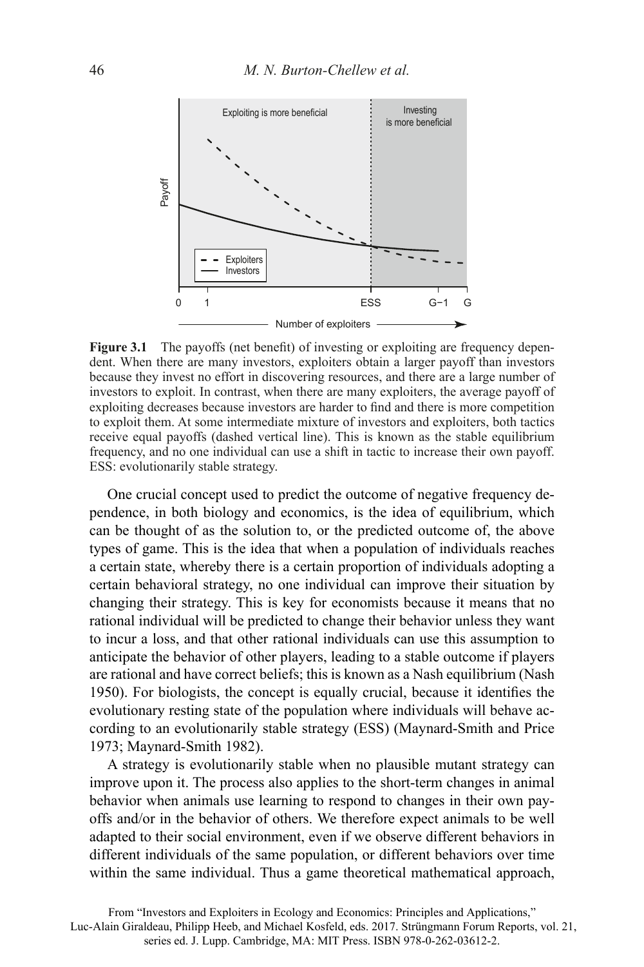

**Figure 3.1** The payoffs (net benefit) of investing or exploiting are frequency dependent. When there are many investors, exploiters obtain a larger payoff than investors because they invest no effort in discovering resources, and there are a large number of investors to exploit. In contrast, when there are many exploiters, the average payoff of exploiting decreases because investors are harder to find and there is more competition to exploit them. At some intermediate mixture of investors and exploiters, both tactics receive equal payoffs (dashed vertical line). This is known as the stable equilibrium frequency, and no one individual can use a shift in tactic to increase their own payoff. ESS: evolutionarily stable strategy.

One crucial concept used to predict the outcome of negative frequency dependence, in both biology and economics, is the idea of equilibrium, which can be thought of as the solution to, or the predicted outcome of, the above types of game. This is the idea that when a population of individuals reaches a certain state, whereby there is a certain proportion of individuals adopting a certain behavioral strategy, no one individual can improve their situation by changing their strategy. This is key for economists because it means that no rational individual will be predicted to change their behavior unless they want to incur a loss, and that other rational individuals can use this assumption to anticipate the behavior of other players, leading to a stable outcome if players are rational and have correct beliefs; this is known as a Nash equilibrium (Nash 1950). For biologists, the concept is equally crucial, because it identifies the evolutionary resting state of the population where individuals will behave according to an evolutionarily stable strategy (ESS) (Maynard-Smith and Price 1973; Maynard-Smith 1982).

A strategy is evolutionarily stable when no plausible mutant strategy can improve upon it. The process also applies to the short-term changes in animal behavior when animals use learning to respond to changes in their own payoffs and/or in the behavior of others. We therefore expect animals to be well adapted to their social environment, even if we observe different behaviors in different individuals of the same population, or different behaviors over time within the same individual. Thus a game theoretical mathematical approach,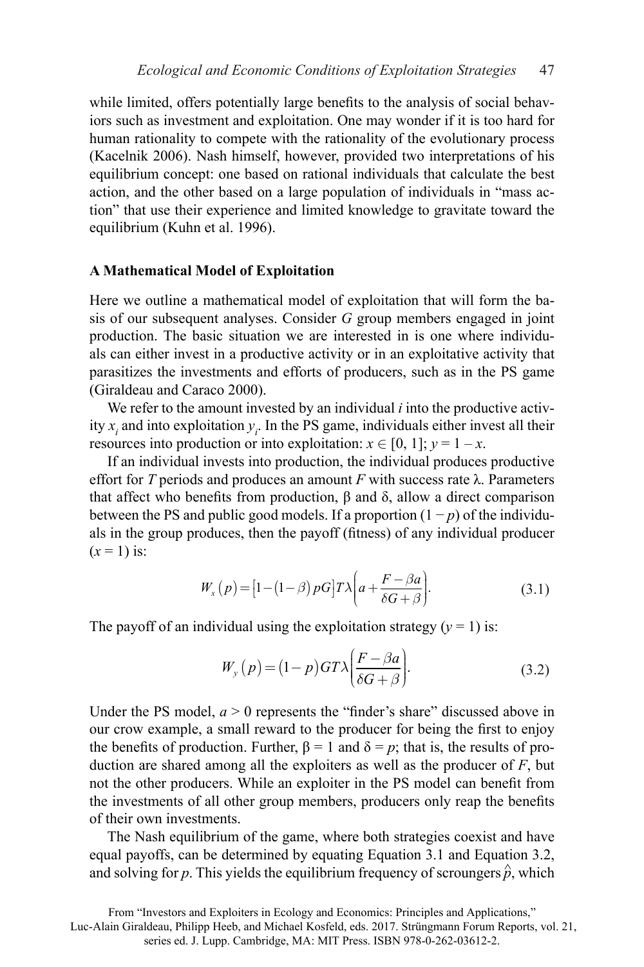while limited, offers potentially large benefits to the analysis of social behaviors such as investment and exploitation. One may wonder if it is too hard for human rationality to compete with the rationality of the evolutionary process (Kacelnik 2006). Nash himself, however, provided two interpretations of his equilibrium concept: one based on rational individuals that calculate the best action, and the other based on a large population of individuals in "mass action" that use their experience and limited knowledge to gravitate toward the equilibrium (Kuhn et al. 1996).

# **A Mathematical Model of Exploitation**

Here we outline a mathematical model of exploitation that will form the basis of our subsequent analyses. Consider *G* group members engaged in joint production. The basic situation we are interested in is one where individuals can either invest in a productive activity or in an exploitative activity that parasitizes the investments and efforts of producers, such as in the PS game (Giraldeau and Caraco 2000).

We refer to the amount invested by an individual *i* into the productive activity  $x_i$  and into exploitation  $y_i$ . In the PS game, individuals either invest all their resources into production or into exploitation:  $x \in [0, 1]$ ;  $y = 1 - x$ .

If an individual invests into production, the individual produces productive effort for *T* periods and produces an amount *F* with success rate  $\lambda$ . Parameters that affect who benefits from production, β and δ, allow a direct comparison between the PS and public good models. If a proportion  $(1 - p)$  of the individuals in the group produces, then the payoff (fitness) of any individual producer  $(x=1)$  is:

$$
W_x(p) = \left[1 - (1 - \beta) pG\right] T \lambda \left(a + \frac{F - \beta a}{\delta G + \beta}\right).
$$
 (3.1)

The payoff of an individual using the exploitation strategy  $(y = 1)$  is:

$$
W_{y}(p) = (1-p)GT\lambda \bigg(\frac{F-\beta a}{\delta G+\beta}\bigg). \tag{3.2}
$$

Under the PS model,  $a > 0$  represents the "finder's share" discussed above in our crow example, a small reward to the producer for being the first to enjoy the benefits of production. Further,  $\beta = 1$  and  $\delta = p$ ; that is, the results of production are shared among all the exploiters as well as the producer of *F*, but not the other producers. While an exploiter in the PS model can benefit from the investments of all other group members, producers only reap the benefits of their own investments.

The Nash equilibrium of the game, where both strategies coexist and have equal payoffs, can be determined by equating Equation 3.1 and Equation 3.2, and solving for p. This yields the equilibrium frequency of scroungers  $\hat{p}$ , which

From "Investors and Exploiters in Ecology and Economics: Principles and Applications," Luc-Alain Giraldeau, Philipp Heeb, and Michael Kosfeld, eds. 2017. Strüngmann Forum Reports, vol. 21, series ed. J. Lupp. Cambridge, MA: MIT Press. ISBN 978-0-262-03612-2.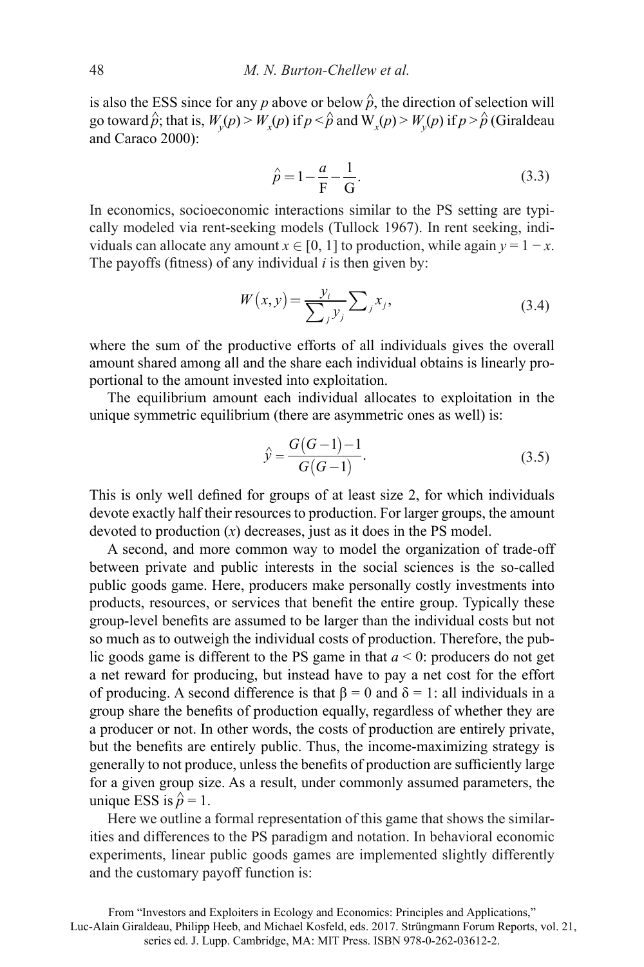is also the ESS since for any  $p$  above or below  $\hat{p}$ , the direction of selection will go toward  $\hat{p}$ ; that is,  $W_y(p) > W_x(p)$  if  $p < \hat{p}$  and  $W_x(p) > W_y(p)$  if  $p > \hat{p}$  (Giraldeau and Caraco 2000):

$$
\hat{p} = 1 - \frac{a}{F} - \frac{1}{G}.
$$
\n(3.3)

In economics, socioeconomic interactions similar to the PS setting are typically modeled via rent-seeking models (Tullock 1967). In rent seeking, individuals can allocate any amount  $x \in [0, 1]$  to production, while again  $y = 1 - x$ . The payoffs (fitness) of any individual  $i$  is then given by:

$$
W(x, y) = \frac{y_i}{\sum_j y_j} \sum_j x_j,
$$
\n(3.4)

where the sum of the productive efforts of all individuals gives the overall amount shared among all and the share each individual obtains is linearly proportional to the amount invested into exploitation.

The equilibrium amount each individual allocates to exploitation in the unique symmetric equilibrium (there are asymmetric ones as well) is:

$$
\hat{y} = \frac{G(G-1)-1}{G(G-1)}.\tag{3.5}
$$

This is only well defined for groups of at least size 2, for which individuals devote exactly half their resources to production. For larger groups, the amount devoted to production (*x*) decreases, just as it does in the PS model.

A second, and more common way to model the organization of trade-off between private and public interests in the social sciences is the so-called public goods game. Here, producers make personally costly investments into products, resources, or services that benefit the entire group. Typically these group-level benefits are assumed to be larger than the individual costs but not so much as to outweigh the individual costs of production. Therefore, the public goods game is different to the PS game in that  $a < 0$ : producers do not get a net reward for producing, but instead have to pay a net cost for the effort of producing. A second difference is that  $\beta = 0$  and  $\delta = 1$ : all individuals in a group share the benefits of production equally, regardless of whether they are a producer or not. In other words, the costs of production are entirely private, but the benefits are entirely public. Thus, the income-maximizing strategy is generally to not produce, unless the benefits of production are sufficiently large for a given group size. As a result, under commonly assumed parameters, the unique ESS is  $\hat{p} = 1$ .

Here we outline a formal representation of this game that shows the similarities and differences to the PS paradigm and notation. In behavioral economic experiments, linear public goods games are implemented slightly differently and the customary payoff function is:

From "Investors and Exploiters in Ecology and Economics: Principles and Applications," Luc-Alain Giraldeau, Philipp Heeb, and Michael Kosfeld, eds. 2017. Strüngmann Forum Reports, vol. 21, series ed. J. Lupp. Cambridge, MA: MIT Press. ISBN 978-0-262-03612-2.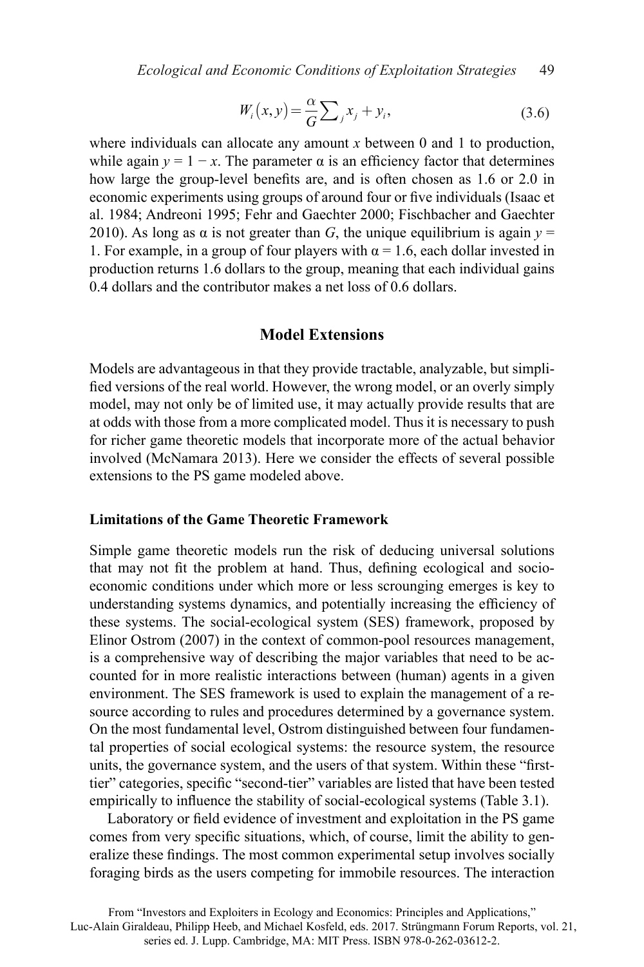$$
W_i(x, y) = \frac{\alpha}{G} \sum_j x_j + y_i,
$$
\n(3.6)

where individuals can allocate any amount *x* between 0 and 1 to production, while again  $y = 1 - x$ . The parameter  $\alpha$  is an efficiency factor that determines how large the group-level benefits are, and is often chosen as 1.6 or 2.0 in economic experiments using groups of around four or five individuals (Isaac et al. 1984; Andreoni 1995; Fehr and Gaechter 2000; Fischbacher and Gaechter 2010). As long as  $\alpha$  is not greater than *G*, the unique equilibrium is again  $\nu$  = 1. For example, in a group of four players with  $\alpha = 1.6$ , each dollar invested in production returns 1.6 dollars to the group, meaning that each individual gains 0.4 dollars and the contributor makes a net loss of 0.6 dollars.

# **Model Extensions**

Models are advantageous in that they provide tractable, analyzable, but simplified versions of the real world. However, the wrong model, or an overly simply model, may not only be of limited use, it may actually provide results that are at odds with those from a more complicated model. Thus it is necessary to push for richer game theoretic models that incorporate more of the actual behavior involved (McNamara 2013). Here we consider the effects of several possible extensions to the PS game modeled above.

## **Limitations of the Game Theoretic Framework**

Simple game theoretic models run the risk of deducing universal solutions that may not fit the problem at hand. Thus, defining ecological and socioeconomic conditions under which more or less scrounging emerges is key to understanding systems dynamics, and potentially increasing the efficiency of these systems. The social-ecological system (SES) framework, proposed by Elinor Ostrom (2007) in the context of common-pool resources management, is a comprehensive way of describing the major variables that need to be accounted for in more realistic interactions between (human) agents in a given environment. The SES framework is used to explain the management of a resource according to rules and procedures determined by a governance system. On the most fundamental level, Ostrom distinguished between four fundamental properties of social ecological systems: the resource system, the resource units, the governance system, and the users of that system. Within these "firsttier" categories, specific "second-tier" variables are listed that have been tested empirically to influence the stability of social-ecological systems (Table 3.1).

Laboratory or field evidence of investment and exploitation in the PS game comes from very specific situations, which, of course, limit the ability to generalize these findings. The most common experimental setup involves socially foraging birds as the users competing for immobile resources. The interaction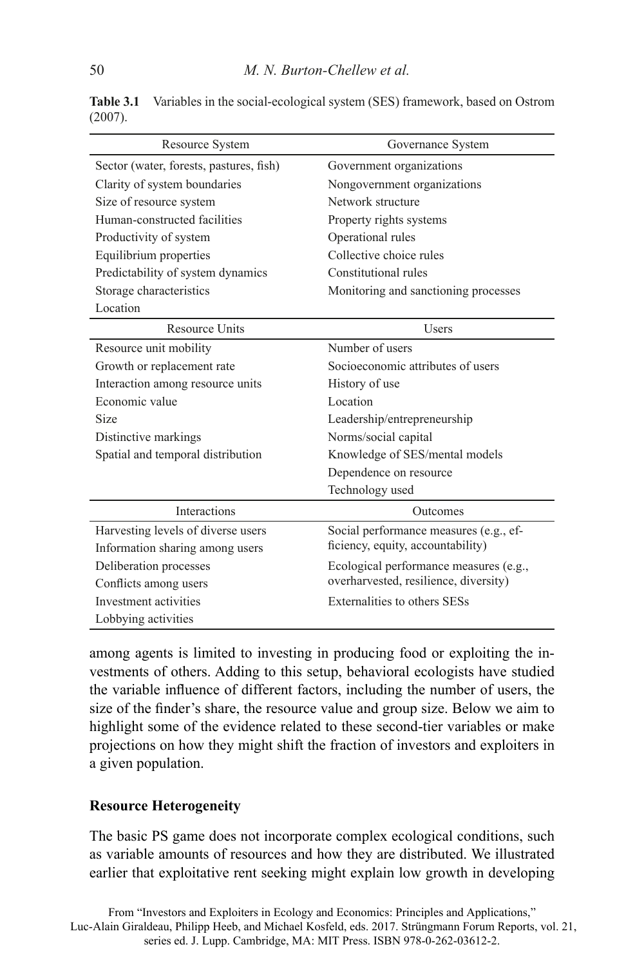| Resource System                         | Governance System                      |
|-----------------------------------------|----------------------------------------|
| Sector (water, forests, pastures, fish) | Government organizations               |
| Clarity of system boundaries            | Nongovernment organizations            |
| Size of resource system                 | Network structure                      |
| Human-constructed facilities            | Property rights systems                |
| Productivity of system                  | Operational rules                      |
| Equilibrium properties                  | Collective choice rules                |
| Predictability of system dynamics       | Constitutional rules                   |
| Storage characteristics                 | Monitoring and sanctioning processes   |
| Location                                |                                        |
| <b>Resource Units</b>                   | Users                                  |
| Resource unit mobility                  | Number of users                        |
| Growth or replacement rate              | Socioeconomic attributes of users      |
| Interaction among resource units        | History of use                         |
| Economic value                          | Location                               |
| <b>Size</b>                             | Leadership/entrepreneurship            |
| Distinctive markings                    | Norms/social capital                   |
| Spatial and temporal distribution       | Knowledge of SES/mental models         |
|                                         | Dependence on resource                 |
|                                         | Technology used                        |
| <b>Interactions</b>                     | Outcomes                               |
| Harvesting levels of diverse users      | Social performance measures (e.g., ef- |
| Information sharing among users         | ficiency, equity, accountability)      |
| Deliberation processes                  | Ecological performance measures (e.g., |
| Conflicts among users                   | overharvested, resilience, diversity)  |
| Investment activities                   | Externalities to others SESs           |
| Lobbying activities                     |                                        |

**Table 3.1** Variables in the social-ecological system (SES) framework, based on Ostrom (2007).

among agents is limited to investing in producing food or exploiting the investments of others. Adding to this setup, behavioral ecologists have studied the variable influence of different factors, including the number of users, the size of the finder's share, the resource value and group size. Below we aim to highlight some of the evidence related to these second-tier variables or make projections on how they might shift the fraction of investors and exploiters in a given population.

# **Resource Heterogeneity**

The basic PS game does not incorporate complex ecological conditions, such as variable amounts of resources and how they are distributed. We illustrated earlier that exploitative rent seeking might explain low growth in developing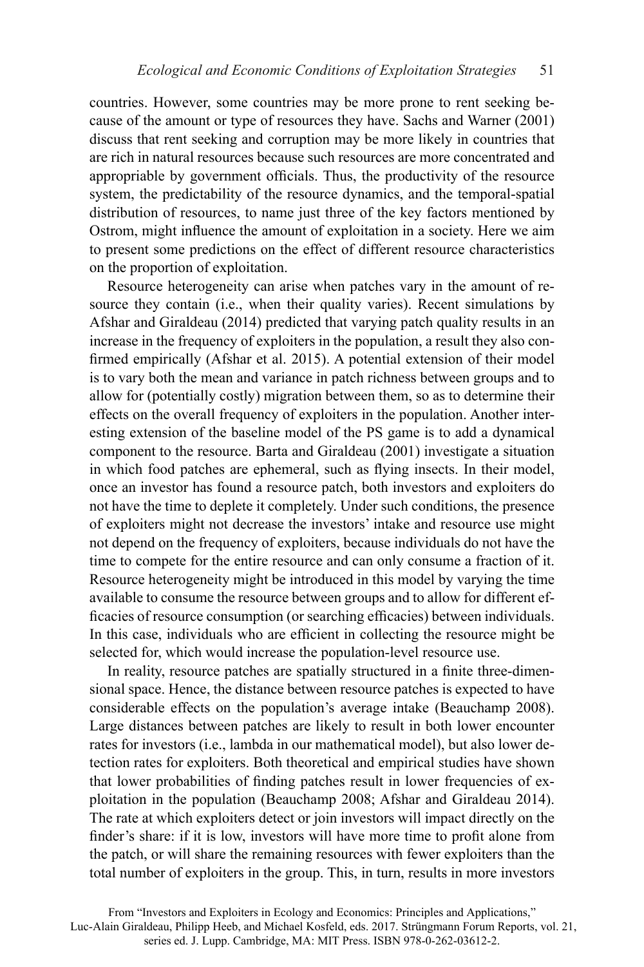countries. However, some countries may be more prone to rent seeking because of the amount or type of resources they have. Sachs and Warner (2001) discuss that rent seeking and corruption may be more likely in countries that are rich in natural resources because such resources are more concentrated and appropriable by government officials. Thus, the productivity of the resource system, the predictability of the resource dynamics, and the temporal-spatial distribution of resources, to name just three of the key factors mentioned by Ostrom, might influence the amount of exploitation in a society. Here we aim to present some predictions on the effect of different resource characteristics on the proportion of exploitation.

Resource heterogeneity can arise when patches vary in the amount of resource they contain (i.e., when their quality varies). Recent simulations by Afshar and Giraldeau (2014) predicted that varying patch quality results in an increase in the frequency of exploiters in the population, a result they also confirmed empirically (Afshar et al. 2015). A potential extension of their model is to vary both the mean and variance in patch richness between groups and to allow for (potentially costly) migration between them, so as to determine their effects on the overall frequency of exploiters in the population. Another interesting extension of the baseline model of the PS game is to add a dynamical component to the resource. Barta and Giraldeau (2001) investigate a situation in which food patches are ephemeral, such as flying insects. In their model, once an investor has found a resource patch, both investors and exploiters do not have the time to deplete it completely. Under such conditions, the presence of exploiters might not decrease the investors' intake and resource use might not depend on the frequency of exploiters, because individuals do not have the time to compete for the entire resource and can only consume a fraction of it. Resource heterogeneity might be introduced in this model by varying the time available to consume the resource between groups and to allow for different efficacies of resource consumption (or searching efficacies) between individuals. In this case, individuals who are efficient in collecting the resource might be selected for, which would increase the population-level resource use.

In reality, resource patches are spatially structured in a finite three-dimensional space. Hence, the distance between resource patches is expected to have considerable effects on the population's average intake (Beauchamp 2008). Large distances between patches are likely to result in both lower encounter rates for investors (i.e., lambda in our mathematical model), but also lower detection rates for exploiters. Both theoretical and empirical studies have shown that lower probabilities of finding patches result in lower frequencies of exploitation in the population (Beauchamp 2008; Afshar and Giraldeau 2014). The rate at which exploiters detect or join investors will impact directly on the finder's share: if it is low, investors will have more time to profit alone from the patch, or will share the remaining resources with fewer exploiters than the total number of exploiters in the group. This, in turn, results in more investors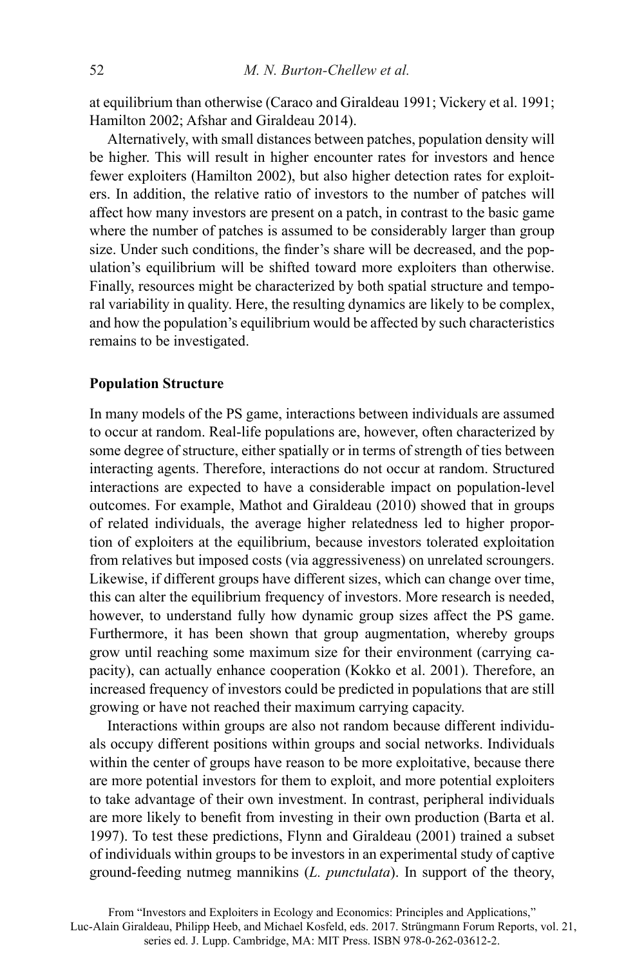at equilibrium than otherwise (Caraco and Giraldeau 1991; Vickery et al. 1991; Hamilton 2002; Afshar and Giraldeau 2014).

Alternatively, with small distances between patches, population density will be higher. This will result in higher encounter rates for investors and hence fewer exploiters (Hamilton 2002), but also higher detection rates for exploiters. In addition, the relative ratio of investors to the number of patches will affect how many investors are present on a patch, in contrast to the basic game where the number of patches is assumed to be considerably larger than group size. Under such conditions, the finder's share will be decreased, and the population's equilibrium will be shifted toward more exploiters than otherwise. Finally, resources might be characterized by both spatial structure and temporal variability in quality. Here, the resulting dynamics are likely to be complex, and how the population's equilibrium would be affected by such characteristics remains to be investigated.

# **Population Structure**

In many models of the PS game, interactions between individuals are assumed to occur at random. Real-life populations are, however, often characterized by some degree of structure, either spatially or in terms of strength of ties between interacting agents. Therefore, interactions do not occur at random. Structured interactions are expected to have a considerable impact on population-level outcomes. For example, Mathot and Giraldeau (2010) showed that in groups of related individuals, the average higher relatedness led to higher proportion of exploiters at the equilibrium, because investors tolerated exploitation from relatives but imposed costs (via aggressiveness) on unrelated scroungers. Likewise, if different groups have different sizes, which can change over time, this can alter the equilibrium frequency of investors. More research is needed, however, to understand fully how dynamic group sizes affect the PS game. Furthermore, it has been shown that group augmentation, whereby groups grow until reaching some maximum size for their environment (carrying capacity), can actually enhance cooperation (Kokko et al. 2001). Therefore, an increased frequency of investors could be predicted in populations that are still growing or have not reached their maximum carrying capacity.

Interactions within groups are also not random because different individuals occupy different positions within groups and social networks. Individuals within the center of groups have reason to be more exploitative, because there are more potential investors for them to exploit, and more potential exploiters to take advantage of their own investment. In contrast, peripheral individuals are more likely to benefit from investing in their own production (Barta et al. 1997). To test these predictions, Flynn and Giraldeau (2001) trained a subset of individuals within groups to be investors in an experimental study of captive ground-feeding nutmeg mannikins (*L. punctulata*). In support of the theory,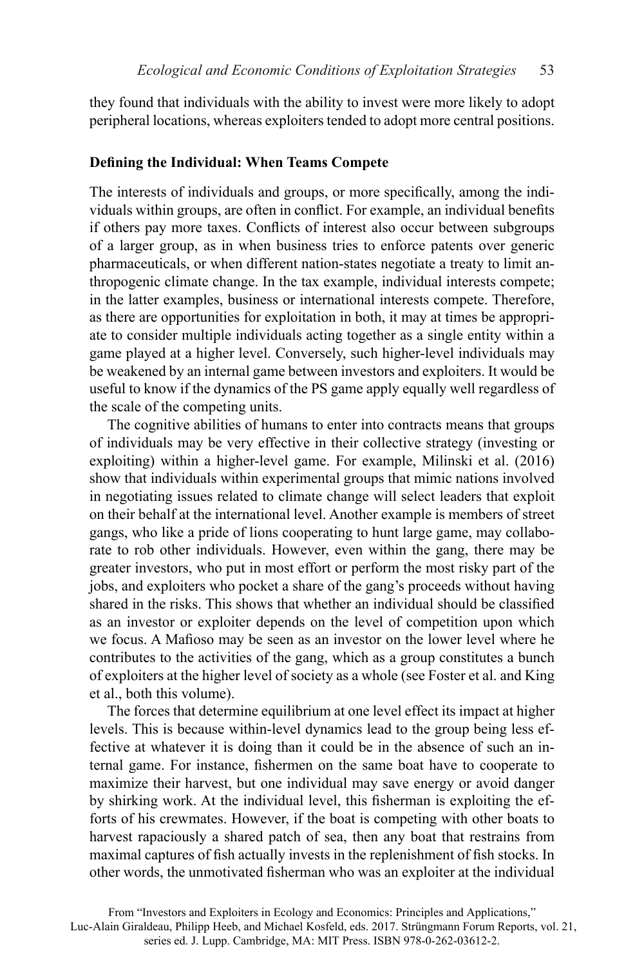they found that individuals with the ability to invest were more likely to adopt peripheral locations, whereas exploiters tended to adopt more central positions.

## **Defi ning the Individual: When Teams Compete**

The interests of individuals and groups, or more specifically, among the individuals within groups, are often in conflict. For example, an individual benefits if others pay more taxes. Conflicts of interest also occur between subgroups of a larger group, as in when business tries to enforce patents over generic pharmaceuticals, or when different nation-states negotiate a treaty to limit anthropogenic climate change. In the tax example, individual interests compete; in the latter examples, business or international interests compete. Therefore, as there are opportunities for exploitation in both, it may at times be appropriate to consider multiple individuals acting together as a single entity within a game played at a higher level. Conversely, such higher-level individuals may be weakened by an internal game between investors and exploiters. It would be useful to know if the dynamics of the PS game apply equally well regardless of the scale of the competing units.

The cognitive abilities of humans to enter into contracts means that groups of individuals may be very effective in their collective strategy (investing or exploiting) within a higher-level game. For example, Milinski et al. (2016) show that individuals within experimental groups that mimic nations involved in negotiating issues related to climate change will select leaders that exploit on their behalf at the international level. Another example is members of street gangs, who like a pride of lions cooperating to hunt large game, may collaborate to rob other individuals. However, even within the gang, there may be greater investors, who put in most effort or perform the most risky part of the jobs, and exploiters who pocket a share of the gang's proceeds without having shared in the risks. This shows that whether an individual should be classified as an investor or exploiter depends on the level of competition upon which we focus. A Mafioso may be seen as an investor on the lower level where he contributes to the activities of the gang, which as a group constitutes a bunch of exploiters at the higher level of society as a whole (see Foster et al. and King et al., both this volume).

The forces that determine equilibrium at one level effect its impact at higher levels. This is because within-level dynamics lead to the group being less effective at whatever it is doing than it could be in the absence of such an internal game. For instance, fishermen on the same boat have to cooperate to maximize their harvest, but one individual may save energy or avoid danger by shirking work. At the individual level, this fisherman is exploiting the efforts of his crewmates. However, if the boat is competing with other boats to harvest rapaciously a shared patch of sea, then any boat that restrains from maximal captures of fish actually invests in the replenishment of fish stocks. In other words, the unmotivated fisherman who was an exploiter at the individual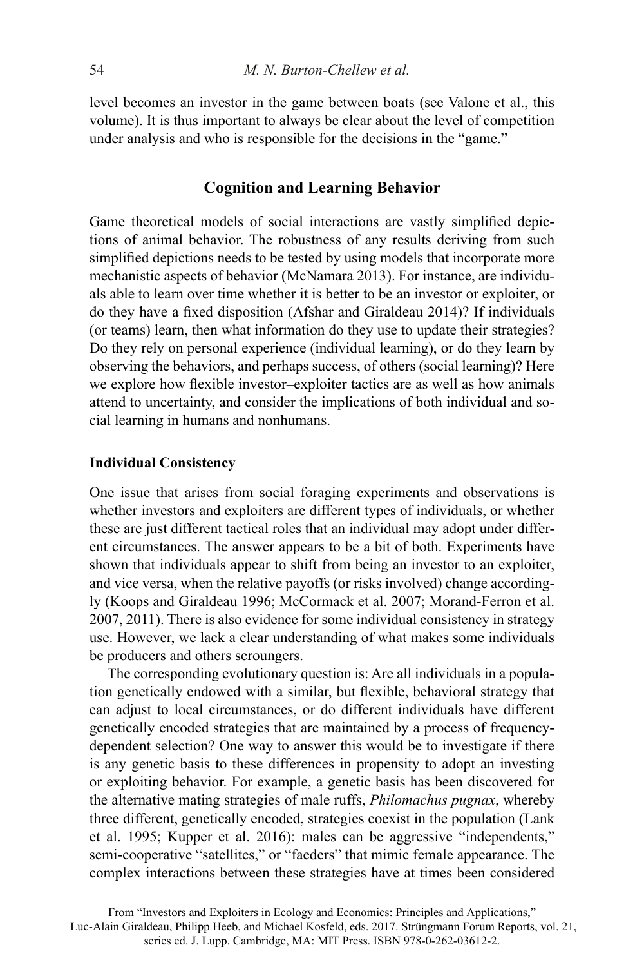level becomes an investor in the game between boats (see Valone et al., this volume). It is thus important to always be clear about the level of competition under analysis and who is responsible for the decisions in the "game."

# **Cognition and Learning Behavior**

Game theoretical models of social interactions are vastly simplified depictions of animal behavior. The robustness of any results deriving from such simplified depictions needs to be tested by using models that incorporate more mechanistic aspects of behavior (McNamara 2013). For instance, are individuals able to learn over time whether it is better to be an investor or exploiter, or do they have a fixed disposition (Afshar and Giraldeau 2014)? If individuals (or teams) learn, then what information do they use to update their strategies? Do they rely on personal experience (individual learning), or do they learn by observing the behaviors, and perhaps success, of others ( social learning)? Here we explore how flexible investor–exploiter tactics are as well as how animals attend to uncertainty, and consider the implications of both individual and social learning in humans and nonhumans.

# **Individual Consistency**

One issue that arises from social foraging experiments and observations is whether investors and exploiters are different types of individuals, or whether these are just different tactical roles that an individual may adopt under different circumstances. The answer appears to be a bit of both. Experiments have shown that individuals appear to shift from being an investor to an exploiter, and vice versa, when the relative payoffs (or risks involved) change accordingly (Koops and Giraldeau 1996; McCormack et al. 2007; Morand-Ferron et al. 2007, 2011). There is also evidence for some individual consistency in strategy use. However, we lack a clear understanding of what makes some individuals be producers and others scroungers.

The corresponding evolutionary question is: Are all individuals in a population genetically endowed with a similar, but flexible, behavioral strategy that can adjust to local circumstances, or do different individuals have different genetically encoded strategies that are maintained by a process of frequencydependent selection? One way to answer this would be to investigate if there is any genetic basis to these differences in propensity to adopt an investing or exploiting behavior. For example, a genetic basis has been discovered for the alternative mating strategies of male ruffs, *Philomachus pugnax*, whereby three different, genetically encoded, strategies coexist in the population (Lank et al. 1995; Kupper et al. 2016): males can be aggressive "independents," semi-cooperative "satellites," or "faeders" that mimic female appearance. The complex interactions between these strategies have at times been considered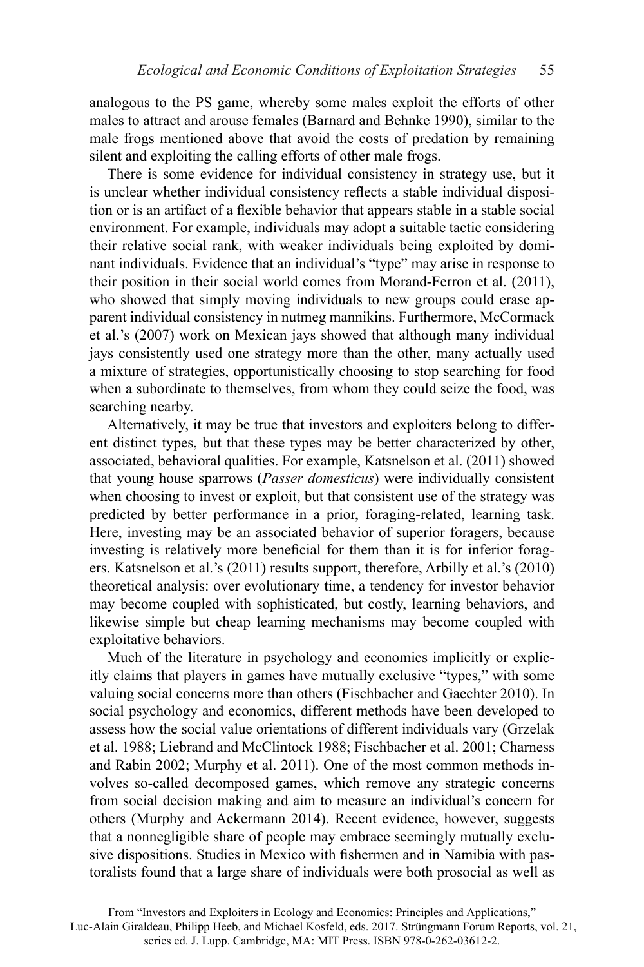analogous to the PS game, whereby some males exploit the efforts of other males to attract and arouse females (Barnard and Behnke 1990), similar to the male frogs mentioned above that avoid the costs of predation by remaining silent and exploiting the calling efforts of other male frogs.

There is some evidence for individual consistency in strategy use, but it is unclear whether individual consistency reflects a stable individual disposition or is an artifact of a flexible behavior that appears stable in a stable social environment. For example, individuals may adopt a suitable tactic considering their relative social rank, with weaker individuals being exploited by dominant individuals. Evidence that an individual's "type" may arise in response to their position in their social world comes from Morand-Ferron et al. (2011), who showed that simply moving individuals to new groups could erase apparent individual consistency in nutmeg mannikins. Furthermore, McCormack et al.'s (2007) work on Mexican jays showed that although many individual jays consistently used one strategy more than the other, many actually used a mixture of strategies, opportunistically choosing to stop searching for food when a subordinate to themselves, from whom they could seize the food, was searching nearby.

Alternatively, it may be true that investors and exploiters belong to different distinct types, but that these types may be better characterized by other, associated, behavioral qualities. For example, Katsnelson et al. (2011) showed that young house sparrows (*Passer domesticus*) were individually consistent when choosing to invest or exploit, but that consistent use of the strategy was predicted by better performance in a prior, foraging-related, learning task. Here, investing may be an associated behavior of superior foragers, because investing is relatively more beneficial for them than it is for inferior foragers. Katsnelson et al.'s (2011) results support, therefore, Arbilly et al.'s (2010) theoretical analysis: over evolutionary time, a tendency for investor behavior may become coupled with sophisticated, but costly, learning behaviors, and likewise simple but cheap learning mechanisms may become coupled with exploitative behaviors.

Much of the literature in psychology and economics implicitly or explicitly claims that players in games have mutually exclusive "types," with some valuing social concerns more than others (Fischbacher and Gaechter 2010). In social psychology and economics, different methods have been developed to assess how the social value orientations of different individuals vary (Grzelak et al. 1988; Liebrand and McClintock 1988; Fischbacher et al. 2001; Charness and Rabin 2002; Murphy et al. 2011). One of the most common methods involves so-called decomposed games, which remove any strategic concerns from social decision making and aim to measure an individual's concern for others (Murphy and Ackermann 2014). Recent evidence, however, suggests that a nonnegligible share of people may embrace seemingly mutually exclusive dispositions. Studies in Mexico with fishermen and in Namibia with pastoralists found that a large share of individuals were both prosocial as well as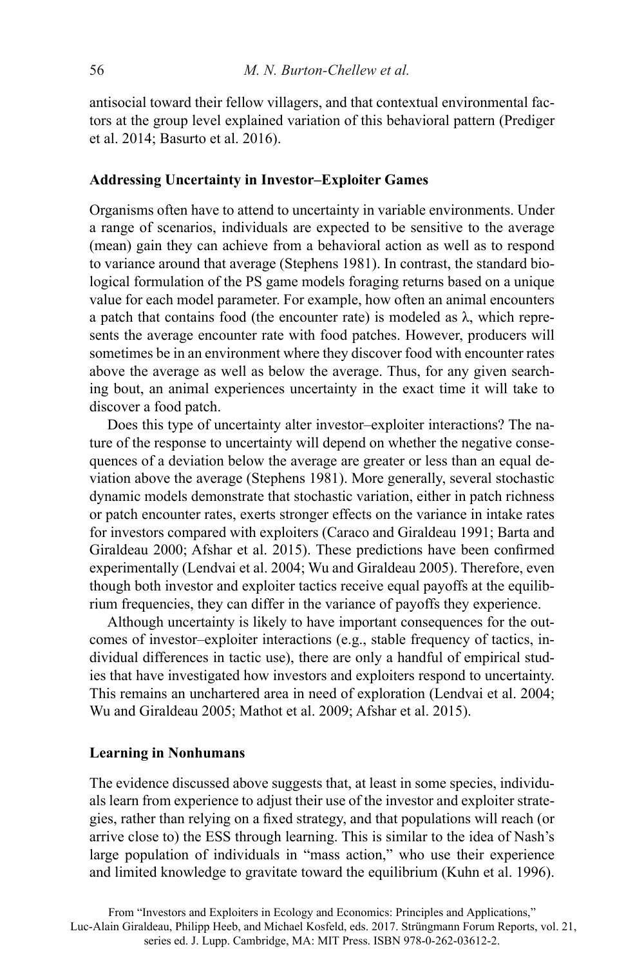antisocial toward their fellow villagers, and that contextual environmental factors at the group level explained variation of this behavioral pattern (Prediger et al. 2014; Basurto et al. 2016).

# **Addressing Uncertainty in Investor–Exploiter Games**

Organisms often have to attend to uncertainty in variable environments. Under a range of scenarios, individuals are expected to be sensitive to the average (mean) gain they can achieve from a behavioral action as well as to respond to variance around that average (Stephens 1981). In contrast, the standard biological formulation of the PS game models foraging returns based on a unique value for each model parameter. For example, how often an animal encounters a patch that contains food (the encounter rate) is modeled as  $\lambda$ , which represents the average encounter rate with food patches. However, producers will sometimes be in an environment where they discover food with encounter rates above the average as well as below the average. Thus, for any given searching bout, an animal experiences uncertainty in the exact time it will take to discover a food patch.

Does this type of uncertainty alter investor–exploiter interactions? The nature of the response to uncertainty will depend on whether the negative consequences of a deviation below the average are greater or less than an equal deviation above the average (Stephens 1981). More generally, several stochastic dynamic models demonstrate that stochastic variation, either in patch richness or patch encounter rates, exerts stronger effects on the variance in intake rates for investors compared with exploiters (Caraco and Giraldeau 1991; Barta and Giraldeau 2000; Afshar et al. 2015). These predictions have been confirmed experimentally (Lendvai et al. 2004; Wu and Giraldeau 2005). Therefore, even though both investor and exploiter tactics receive equal payoffs at the equilibrium frequencies, they can differ in the variance of payoffs they experience.

Although uncertainty is likely to have important consequences for the outcomes of investor–exploiter interactions (e.g., stable frequency of tactics, individual differences in tactic use), there are only a handful of empirical studies that have investigated how investors and exploiters respond to uncertainty. This remains an unchartered area in need of exploration (Lendvai et al. 2004; Wu and Giraldeau 2005; Mathot et al. 2009; Afshar et al. 2015).

#### **Learning in Nonhumans**

The evidence discussed above suggests that, at least in some species, individuals learn from experience to adjust their use of the investor and exploiter strategies, rather than relying on a fixed strategy, and that populations will reach (or arrive close to) the ESS through learning. This is similar to the idea of Nash's large population of individuals in "mass action," who use their experience and limited knowledge to gravitate toward the equilibrium (Kuhn et al. 1996).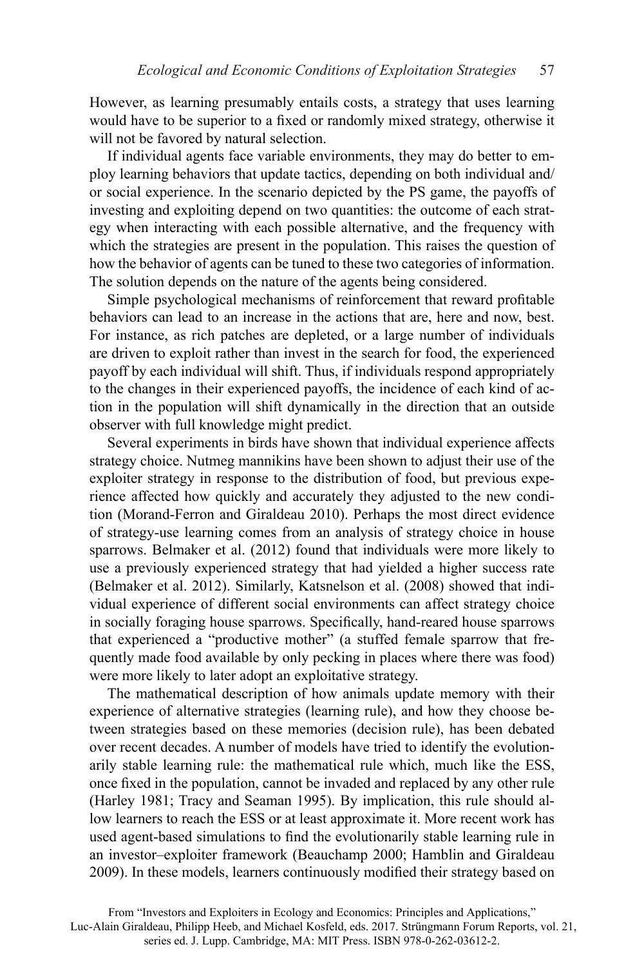However, as learning presumably entails costs, a strategy that uses learning would have to be superior to a fixed or randomly mixed strategy, otherwise it will not be favored by natural selection.

If individual agents face variable environments, they may do better to employ learning behaviors that update tactics, depending on both individual and/ or social experience. In the scenario depicted by the PS game, the payoffs of investing and exploiting depend on two quantities: the outcome of each strategy when interacting with each possible alternative, and the frequency with which the strategies are present in the population. This raises the question of how the behavior of agents can be tuned to these two categories of information. The solution depends on the nature of the agents being considered.

Simple psychological mechanisms of reinforcement that reward profitable behaviors can lead to an increase in the actions that are, here and now, best. For instance, as rich patches are depleted, or a large number of individuals are driven to exploit rather than invest in the search for food, the experienced payoff by each individual will shift. Thus, if individuals respond appropriately to the changes in their experienced payoffs, the incidence of each kind of action in the population will shift dynamically in the direction that an outside observer with full knowledge might predict.

Several experiments in birds have shown that individual experience affects strategy choice. Nutmeg mannikins have been shown to adjust their use of the exploiter strategy in response to the distribution of food, but previous experience affected how quickly and accurately they adjusted to the new condition (Morand-Ferron and Giraldeau 2010). Perhaps the most direct evidence of strategy-use learning comes from an analysis of strategy choice in house sparrows. Belmaker et al. (2012) found that individuals were more likely to use a previously experienced strategy that had yielded a higher success rate (Belmaker et al. 2012). Similarly, Katsnelson et al. (2008) showed that individual experience of different social environments can affect strategy choice in socially foraging house sparrows. Specifically, hand-reared house sparrows that experienced a "productive mother" (a stuffed female sparrow that frequently made food available by only pecking in places where there was food) were more likely to later adopt an exploitative strategy.

The mathematical description of how animals update memory with their experience of alternative strategies (learning rule), and how they choose between strategies based on these memories (decision rule), has been debated over recent decades. A number of models have tried to identify the evolutionarily stable learning rule: the mathematical rule which, much like the ESS, once fixed in the population, cannot be invaded and replaced by any other rule (Harley 1981; Tracy and Seaman 1995). By implication, this rule should allow learners to reach the ESS or at least approximate it. More recent work has used agent-based simulations to find the evolutionarily stable learning rule in an investor–exploiter framework (Beauchamp 2000; Hamblin and Giraldeau 2009). In these models, learners continuously modified their strategy based on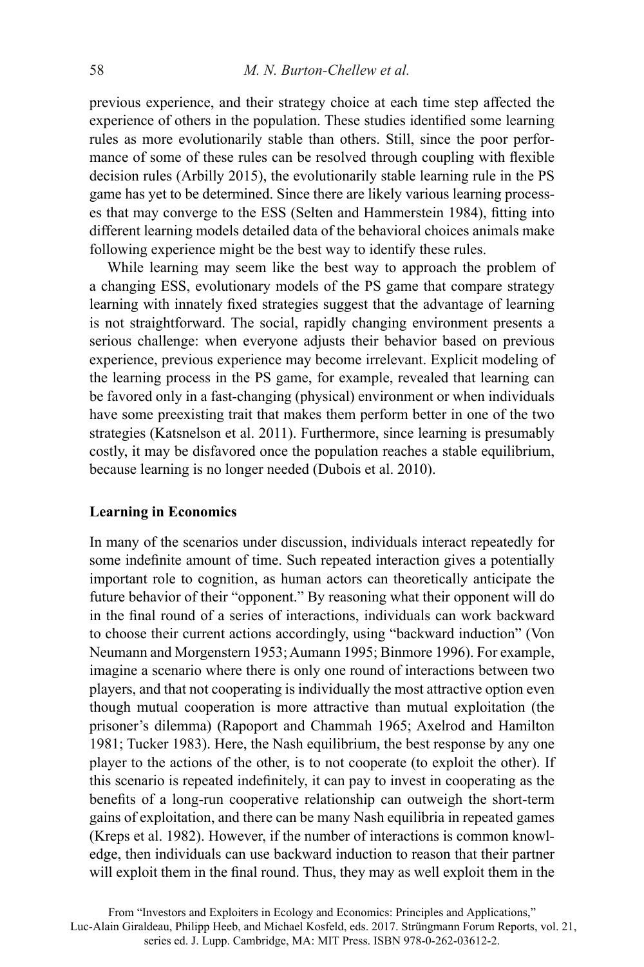previous experience, and their strategy choice at each time step affected the experience of others in the population. These studies identified some learning rules as more evolutionarily stable than others. Still, since the poor performance of some of these rules can be resolved through coupling with flexible decision rules (Arbilly 2015), the evolutionarily stable learning rule in the PS game has yet to be determined. Since there are likely various learning processes that may converge to the ESS (Selten and Hammerstein 1984), fitting into different learning models detailed data of the behavioral choices animals make following experience might be the best way to identify these rules.

While learning may seem like the best way to approach the problem of a changing ESS, evolutionary models of the PS game that compare strategy learning with innately fixed strategies suggest that the advantage of learning is not straightforward. The social, rapidly changing environment presents a serious challenge: when everyone adjusts their behavior based on previous experience, previous experience may become irrelevant. Explicit modeling of the learning process in the PS game, for example, revealed that learning can be favored only in a fast-changing (physical) environment or when individuals have some preexisting trait that makes them perform better in one of the two strategies (Katsnelson et al. 2011). Furthermore, since learning is presumably costly, it may be disfavored once the population reaches a stable equilibrium, because learning is no longer needed (Dubois et al. 2010).

#### **Learning in Economics**

In many of the scenarios under discussion, individuals interact repeatedly for some indefinite amount of time. Such repeated interaction gives a potentially important role to cognition, as human actors can theoretically anticipate the future behavior of their "opponent." By reasoning what their opponent will do in the final round of a series of interactions, individuals can work backward to choose their current actions accordingly, using "backward induction" (Von Neumann and Morgenstern 1953; Aumann 1995; Binmore 1996). For example, imagine a scenario where there is only one round of interactions between two players, and that not cooperating is individually the most attractive option even though mutual cooperation is more attractive than mutual exploitation (the prisoner's dilemma) (Rapoport and Chammah 1965; Axelrod and Hamilton 1981; Tucker 1983). Here, the Nash equilibrium, the best response by any one player to the actions of the other, is to not cooperate (to exploit the other). If this scenario is repeated indefinitely, it can pay to invest in cooperating as the benefits of a long-run cooperative relationship can outweigh the short-term gains of exploitation, and there can be many Nash equilibria in repeated games (Kreps et al. 1982). However, if the number of interactions is common knowledge, then individuals can use backward induction to reason that their partner will exploit them in the final round. Thus, they may as well exploit them in the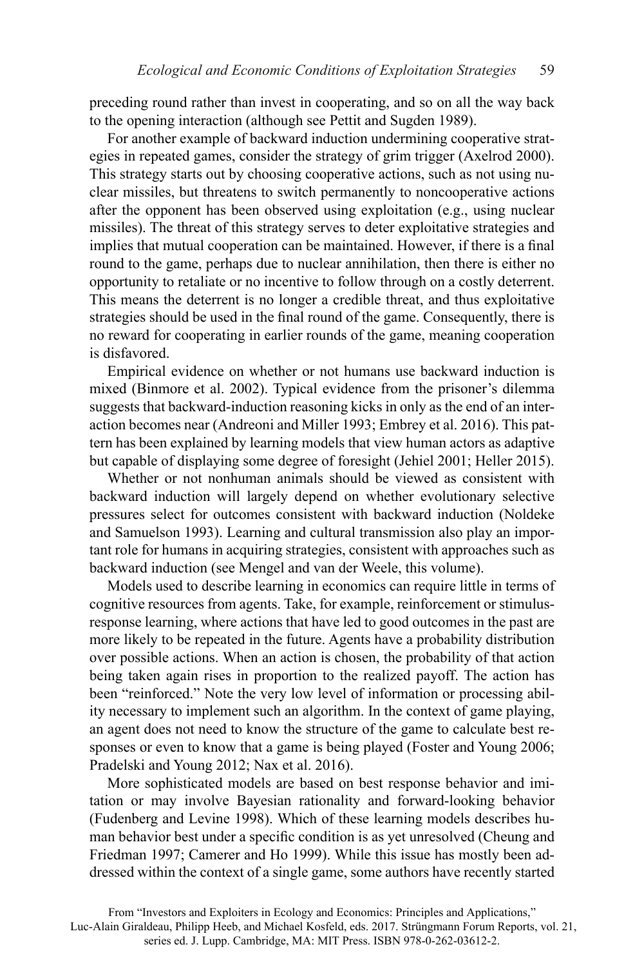preceding round rather than invest in cooperating, and so on all the way back to the opening interaction (although see Pettit and Sugden 1989).

For another example of backward induction undermining cooperative strategies in repeated games, consider the strategy of grim trigger (Axelrod 2000). This strategy starts out by choosing cooperative actions, such as not using nuclear missiles, but threatens to switch permanently to noncooperative actions after the opponent has been observed using exploitation (e.g., using nuclear missiles). The threat of this strategy serves to deter exploitative strategies and implies that mutual cooperation can be maintained. However, if there is a final round to the game, perhaps due to nuclear annihilation, then there is either no opportunity to retaliate or no incentive to follow through on a costly deterrent. This means the deterrent is no longer a credible threat, and thus exploitative strategies should be used in the final round of the game. Consequently, there is no reward for cooperating in earlier rounds of the game, meaning cooperation is disfavored.

 Empirical evidence on whether or not humans use backward induction is mixed (Binmore et al. 2002). Typical evidence from the prisoner's dilemma suggests that backward-induction reasoning kicks in only as the end of an interaction becomes near (Andreoni and Miller 1993; Embrey et al. 2016). This pattern has been explained by learning models that view human actors as adaptive but capable of displaying some degree of foresight (Jehiel 2001; Heller 2015).

Whether or not nonhuman animals should be viewed as consistent with backward induction will largely depend on whether evolutionary selective pressures select for outcomes consistent with backward induction (Noldeke and Samuelson 1993). Learning and cultural transmission also play an important role for humans in acquiring strategies, consistent with approaches such as backward induction (see Mengel and van der Weele, this volume).

Models used to describe learning in economics can require little in terms of cognitive resources from agents. Take, for example, reinforcement or stimulusresponse learning, where actions that have led to good outcomes in the past are more likely to be repeated in the future. Agents have a probability distribution over possible actions. When an action is chosen, the probability of that action being taken again rises in proportion to the realized payoff. The action has been "reinforced." Note the very low level of information or processing ability necessary to implement such an algorithm. In the context of game playing, an agent does not need to know the structure of the game to calculate best responses or even to know that a game is being played (Foster and Young 2006; Pradelski and Young 2012; Nax et al. 2016).

More sophisticated models are based on best response behavior and imitation or may involve Bayesian rationality and forward-looking behavior (Fudenberg and Levine 1998). Which of these learning models describes human behavior best under a specific condition is as yet unresolved (Cheung and Friedman 1997; Camerer and Ho 1999). While this issue has mostly been addressed within the context of a single game, some authors have recently started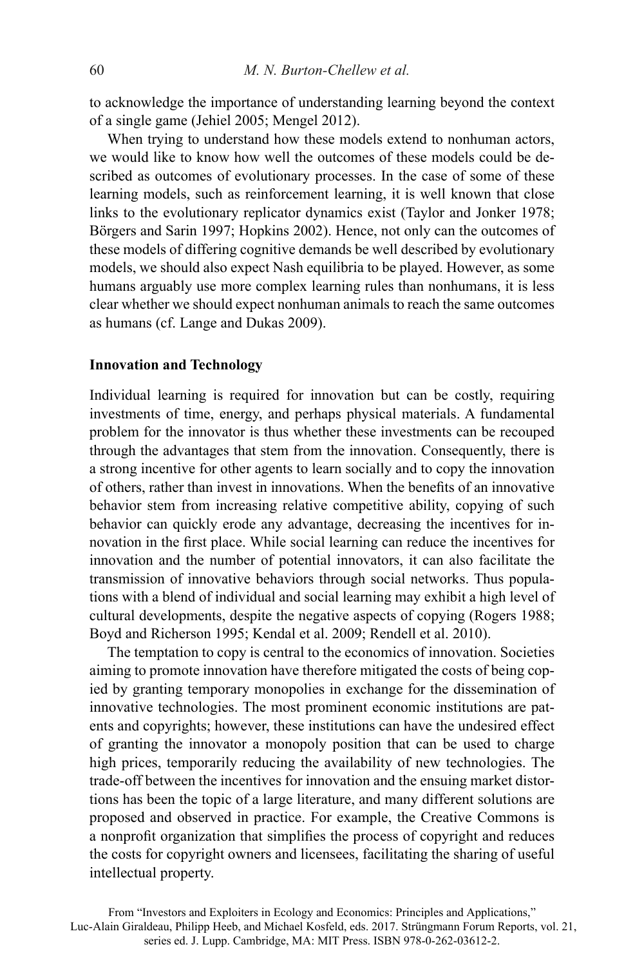to acknowledge the importance of understanding learning beyond the context of a single game (Jehiel 2005; Mengel 2012).

When trying to understand how these models extend to nonhuman actors, we would like to know how well the outcomes of these models could be described as outcomes of evolutionary processes. In the case of some of these learning models, such as reinforcement learning, it is well known that close links to the evolutionary replicator dynamics exist (Taylor and Jonker 1978; Börgers and Sarin 1997; Hopkins 2002). Hence, not only can the outcomes of these models of differing cognitive demands be well described by evolutionary models, we should also expect Nash equilibria to be played. However, as some humans arguably use more complex learning rules than nonhumans, it is less clear whether we should expect nonhuman animals to reach the same outcomes as humans (cf. Lange and Dukas 2009).

## **Innovation and Technology**

Individual learning is required for innovation but can be costly, requiring investments of time, energy, and perhaps physical materials. A fundamental problem for the innovator is thus whether these investments can be recouped through the advantages that stem from the innovation. Consequently, there is a strong incentive for other agents to learn socially and to copy the innovation of others, rather than invest in innovations. When the benefits of an innovative behavior stem from increasing relative competitive ability, copying of such behavior can quickly erode any advantage, decreasing the incentives for innovation in the first place. While social learning can reduce the incentives for innovation and the number of potential innovators, it can also facilitate the transmission of innovative behaviors through social networks. Thus populations with a blend of individual and social learning may exhibit a high level of cultural developments, despite the negative aspects of copying (Rogers 1988; Boyd and Richerson 1995; Kendal et al. 2009; Rendell et al. 2010).

The temptation to copy is central to the economics of innovation. Societies aiming to promote innovation have therefore mitigated the costs of being copied by granting temporary monopolies in exchange for the dissemination of innovative technologies. The most prominent economic institutions are patents and copyrights; however, these institutions can have the undesired effect of granting the innovator a monopoly position that can be used to charge high prices, temporarily reducing the availability of new technologies. The trade-off between the incentives for innovation and the ensuing market distortions has been the topic of a large literature, and many different solutions are proposed and observed in practice. For example, the Creative Commons is a nonprofit organization that simplifies the process of copyright and reduces the costs for copyright owners and licensees, facilitating the sharing of useful intellectual property.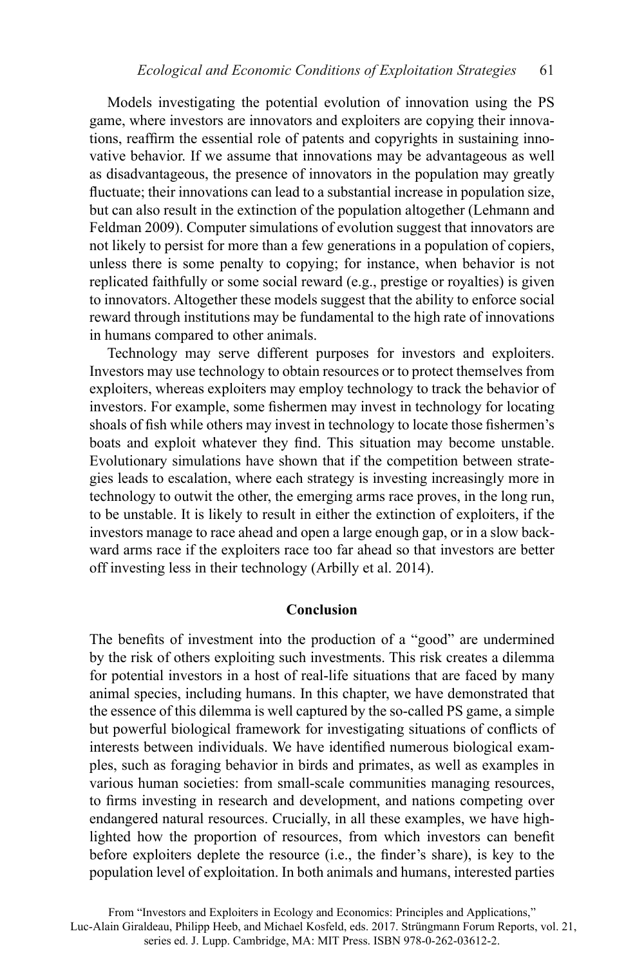Models investigating the potential evolution of innovation using the PS game, where investors are innovators and exploiters are copying their innovations, reaffirm the essential role of patents and copyrights in sustaining innovative behavior. If we assume that innovations may be advantageous as well as disadvantageous, the presence of innovators in the population may greatly fluctuate; their innovations can lead to a substantial increase in population size, but can also result in the extinction of the population altogether (Lehmann and Feldman 2009). Computer simulations of evolution suggest that innovators are not likely to persist for more than a few generations in a population of copiers, unless there is some penalty to copying; for instance, when behavior is not replicated faithfully or some social reward (e.g., prestige or royalties) is given to innovators. Altogether these models suggest that the ability to enforce social reward through institutions may be fundamental to the high rate of innovations in humans compared to other animals.

Technology may serve different purposes for investors and exploiters. Investors may use technology to obtain resources or to protect themselves from exploiters, whereas exploiters may employ technology to track the behavior of investors. For example, some fishermen may invest in technology for locating shoals of fish while others may invest in technology to locate those fishermen's boats and exploit whatever they find. This situation may become unstable. Evolutionary simulations have shown that if the competition between strategies leads to escalation, where each strategy is investing increasingly more in technology to outwit the other, the emerging arms race proves, in the long run, to be unstable. It is likely to result in either the extinction of exploiters, if the investors manage to race ahead and open a large enough gap, or in a slow backward arms race if the exploiters race too far ahead so that investors are better off investing less in their technology (Arbilly et al. 2014).

#### **Conclusion**

The benefits of investment into the production of a "good" are undermined by the risk of others exploiting such investments. This risk creates a dilemma for potential investors in a host of real-life situations that are faced by many animal species, including humans. In this chapter, we have demonstrated that the essence of this dilemma is well captured by the so-called PS game, a simple but powerful biological framework for investigating situations of conflicts of interests between individuals. We have identified numerous biological examples, such as foraging behavior in birds and primates, as well as examples in various human societies: from small-scale communities managing resources, to firms investing in research and development, and nations competing over endangered natural resources. Crucially, in all these examples, we have highlighted how the proportion of resources, from which investors can benefit before exploiters deplete the resource  $(i.e., the finder's share)$ , is key to the population level of exploitation. In both animals and humans, interested parties